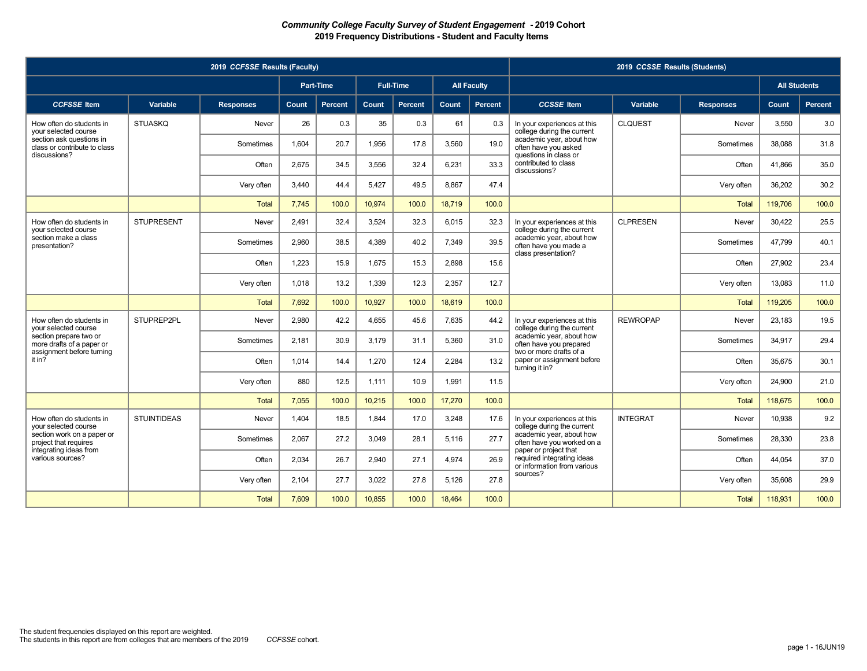|                                                          |                    | 2019 CCFSSE Results (Faculty) |       |                  |        |                  |        |                    |                                                                                    | 2019 CCSSE Results (Students) |                  |                     |         |
|----------------------------------------------------------|--------------------|-------------------------------|-------|------------------|--------|------------------|--------|--------------------|------------------------------------------------------------------------------------|-------------------------------|------------------|---------------------|---------|
|                                                          |                    |                               |       | <b>Part-Time</b> |        | <b>Full-Time</b> |        | <b>All Faculty</b> |                                                                                    |                               |                  | <b>All Students</b> |         |
| <b>CCFSSE</b> Item                                       | Variable           | <b>Responses</b>              | Count | <b>Percent</b>   | Count  | <b>Percent</b>   | Count  | Percent            | <b>CCSSE</b> Item                                                                  | Variable                      | <b>Responses</b> | Count               | Percent |
| How often do students in<br>vour selected course         | <b>STUASKQ</b>     | Never                         | 26    | 0.3              | 35     | 0.3              | 61     | 0.3                | In your experiences at this<br>college during the current                          | <b>CLQUEST</b>                | Never            | 3.550               | 3.0     |
| section ask questions in<br>class or contribute to class |                    | Sometimes                     | 1.604 | 20.7             | 1,956  | 17.8             | 3,560  | 19.0               | academic year, about how<br>often have you asked                                   |                               | Sometimes        | 38,088              | 31.8    |
| discussions?                                             |                    | Often                         | 2,675 | 34.5             | 3,556  | 32.4             | 6,231  | 33.3               | questions in class or<br>contributed to class<br>discussions?                      |                               | Often            | 41,866              | 35.0    |
|                                                          |                    | Very often                    | 3.440 | 44.4             | 5.427  | 49.5             | 8.867  | 47.4               |                                                                                    |                               | Very often       | 36.202              | 30.2    |
|                                                          |                    | <b>Total</b>                  | 7.745 | 100.0            | 10.974 | 100.0            | 18.719 | 100.0              |                                                                                    |                               | <b>Total</b>     | 119,706             | 100.0   |
| How often do students in<br>vour selected course         | <b>STUPRESENT</b>  | Never                         | 2.491 | 32.4             | 3.524  | 32.3             | 6.015  | 32.3               | In your experiences at this<br>college during the current                          | <b>CLPRESEN</b>               | Never            | 30.422              | 25.5    |
| section make a class<br>presentation?                    |                    | Sometimes                     | 2.960 | 38.5             | 4,389  | 40.2             | 7.349  | 39.5               | academic year, about how<br>often have you made a                                  |                               | Sometimes        | 47.799              | 40.1    |
|                                                          |                    | Often                         | 1,223 | 15.9             | 1.675  | 15.3             | 2.898  | 15.6               | class presentation?                                                                |                               | Often            | 27,902              | 23.4    |
|                                                          |                    | Very often                    | 1.018 | 13.2             | 1.339  | 12.3             | 2.357  | 12.7               |                                                                                    |                               | Very often       | 13.083              | 11.0    |
|                                                          |                    | <b>Total</b>                  | 7.692 | 100.0            | 10.927 | 100.0            | 18.619 | 100.0              |                                                                                    |                               | <b>Total</b>     | 119,205             | 100.0   |
| How often do students in<br>vour selected course         | STUPREP2PL         | Never                         | 2,980 | 42.2             | 4,655  | 45.6             | 7.635  | 44.2               | In your experiences at this<br>college during the current                          | <b>REWROPAP</b>               | Never            | 23,183              | 19.5    |
| section prepare two or<br>more drafts of a paper or      |                    | Sometimes                     | 2.181 | 30.9             | 3.179  | 31.1             | 5.360  | 31.0               | academic year, about how<br>often have you prepared                                |                               | Sometimes        | 34.917              | 29.4    |
| assignment before turning<br>it in?                      |                    | Often                         | 1.014 | 14.4             | 1,270  | 12.4             | 2.284  | 13.2               | two or more drafts of a<br>paper or assignment before<br>turning it in?            |                               | Often            | 35.675              | 30.1    |
|                                                          |                    | Very often                    | 880   | 12.5             | 1,111  | 10.9             | 1,991  | 11.5               |                                                                                    |                               | Very often       | 24,900              | 21.0    |
|                                                          |                    | <b>Total</b>                  | 7.055 | 100.0            | 10,215 | 100.0            | 17,270 | 100.0              |                                                                                    |                               | Total            | 118,675             | 100.0   |
| How often do students in<br>vour selected course         | <b>STUINTIDEAS</b> | Never                         | 1.404 | 18.5             | 1.844  | 17.0             | 3.248  | 17.6               | In your experiences at this<br>college during the current                          | <b>INTEGRAT</b>               | Never            | 10.938              | 9.2     |
| section work on a paper or<br>project that requires      |                    | Sometimes                     | 2,067 | 27.2             | 3,049  | 28.1             | 5,116  | 27.7               | academic year, about how<br>often have you worked on a                             |                               | Sometimes        | 28,330              | 23.8    |
| integrating ideas from<br>various sources?               |                    | Often                         | 2,034 | 26.7             | 2,940  | 27.1             | 4.974  | 26.9               | paper or project that<br>required integrating ideas<br>or information from various |                               | Often            | 44.054              | 37.0    |
|                                                          |                    | Very often                    | 2,104 | 27.7             | 3,022  | 27.8             | 5,126  | 27.8               | sources?                                                                           |                               | Very often       | 35,608              | 29.9    |
|                                                          |                    | <b>Total</b>                  | 7,609 | 100.0            | 10,855 | 100.0            | 18,464 | 100.0              |                                                                                    |                               | <b>Total</b>     | 118,931             | 100.0   |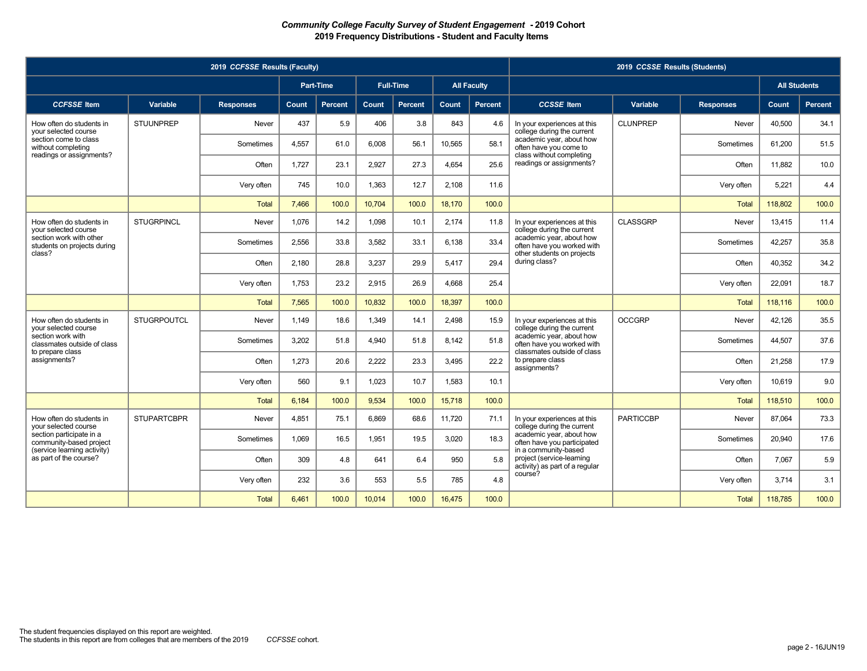|                                                        |                    | 2019 CCFSSE Results (Faculty) |       |                  |        |                  |        |                    |                                                                                     | 2019 CCSSE Results (Students) |                  |                     |         |
|--------------------------------------------------------|--------------------|-------------------------------|-------|------------------|--------|------------------|--------|--------------------|-------------------------------------------------------------------------------------|-------------------------------|------------------|---------------------|---------|
|                                                        |                    |                               |       | <b>Part-Time</b> |        | <b>Full-Time</b> |        | <b>All Faculty</b> |                                                                                     |                               |                  | <b>All Students</b> |         |
| <b>CCFSSE</b> Item                                     | Variable           | <b>Responses</b>              | Count | <b>Percent</b>   | Count  | <b>Percent</b>   | Count  | Percent            | <b>CCSSE</b> Item                                                                   | Variable                      | <b>Responses</b> | Count               | Percent |
| How often do students in<br>vour selected course       | <b>STUUNPREP</b>   | Never                         | 437   | 5.9              | 406    | 3.8              | 843    | 4.6                | In your experiences at this<br>college during the current                           | <b>CLUNPREP</b>               | Never            | 40.500              | 34.1    |
| section come to class<br>without completing            |                    | Sometimes                     | 4.557 | 61.0             | 6,008  | 56.1             | 10,565 | 58.1               | academic year, about how<br>often have you come to                                  |                               | Sometimes        | 61,200              | 51.5    |
| readings or assignments?                               |                    | Often                         | 1.727 | 23.1             | 2,927  | 27.3             | 4.654  | 25.6               | class without completing<br>readings or assignments?                                |                               | Often            | 11,882              | 10.0    |
|                                                        |                    | Very often                    | 745   | 10.0             | 1,363  | 12.7             | 2,108  | 11.6               |                                                                                     |                               | Very often       | 5,221               | 4.4     |
|                                                        |                    | <b>Total</b>                  | 7.466 | 100.0            | 10,704 | 100.0            | 18,170 | 100.0              |                                                                                     |                               | <b>Total</b>     | 118,802             | 100.0   |
| How often do students in<br>vour selected course       | <b>STUGRPINCL</b>  | Never                         | 1.076 | 14.2             | 1.098  | 10.1             | 2.174  | 11.8               | In your experiences at this<br>college during the current                           | <b>CLASSGRP</b>               | Never            | 13.415              | 11.4    |
| section work with other<br>students on projects during |                    | Sometimes                     | 2,556 | 33.8             | 3,582  | 33.1             | 6,138  | 33.4               | academic year, about how<br>often have you worked with                              |                               | Sometimes        | 42,257              | 35.8    |
| class?                                                 |                    | Often                         | 2.180 | 28.8             | 3,237  | 29.9             | 5.417  | 29.4               | other students on projects<br>during class?                                         |                               | Often            | 40.352              | 34.2    |
|                                                        |                    | Very often                    | 1.753 | 23.2             | 2,915  | 26.9             | 4.668  | 25.4               |                                                                                     |                               | Very often       | 22.091              | 18.7    |
|                                                        |                    | <b>Total</b>                  | 7.565 | 100.0            | 10,832 | 100.0            | 18.397 | 100.0              |                                                                                     |                               | <b>Total</b>     | 118.116             | 100.0   |
| How often do students in<br>vour selected course       | <b>STUGRPOUTCL</b> | Never                         | 1.149 | 18.6             | 1.349  | 14.1             | 2.498  | 15.9               | In your experiences at this<br>college during the current                           | <b>OCCGRP</b>                 | Never            | 42.126              | 35.5    |
| section work with<br>classmates outside of class       |                    | Sometimes                     | 3,202 | 51.8             | 4.940  | 51.8             | 8.142  | 51.8               | academic year, about how<br>often have you worked with                              |                               | Sometimes        | 44,507              | 37.6    |
| to prepare class<br>assignments?                       |                    | Often                         | 1,273 | 20.6             | 2,222  | 23.3             | 3.495  | 22.2               | classmates outside of class<br>to prepare class<br>assignments?                     |                               | Often            | 21,258              | 17.9    |
|                                                        |                    | Very often                    | 560   | 9.1              | 1.023  | 10.7             | 1.583  | 10.1               |                                                                                     |                               | Very often       | 10.619              | 9.0     |
|                                                        |                    | <b>Total</b>                  | 6.184 | 100.0            | 9.534  | 100.0            | 15.718 | 100.0              |                                                                                     |                               | <b>Total</b>     | 118,510             | 100.0   |
| How often do students in<br>vour selected course       | <b>STUPARTCBPR</b> | Never                         | 4,851 | 75.1             | 6,869  | 68.6             | 11,720 | 71.1               | In your experiences at this<br>college during the current                           | <b>PARTICCBP</b>              | Never            | 87,064              | 73.3    |
| section participate in a<br>community-based project    |                    | Sometimes                     | 1.069 | 16.5             | 1.951  | 19.5             | 3.020  | 18.3               | academic year, about how<br>often have you participated                             |                               | Sometimes        | 20,940              | 17.6    |
| (service learning activity)<br>as part of the course?  |                    | Often                         | 309   | 4.8              | 641    | 6.4              | 950    | 5.8                | in a community-based<br>project (service-learning<br>activity) as part of a regular |                               | Often            | 7.067               | 5.9     |
|                                                        |                    | Very often                    | 232   | 3.6              | 553    | 5.5              | 785    | 4.8                | course?                                                                             |                               | Very often       | 3,714               | 3.1     |
|                                                        |                    | <b>Total</b>                  | 6.461 | 100.0            | 10,014 | 100.0            | 16,475 | 100.0              |                                                                                     |                               | Total            | 118,785             | 100.0   |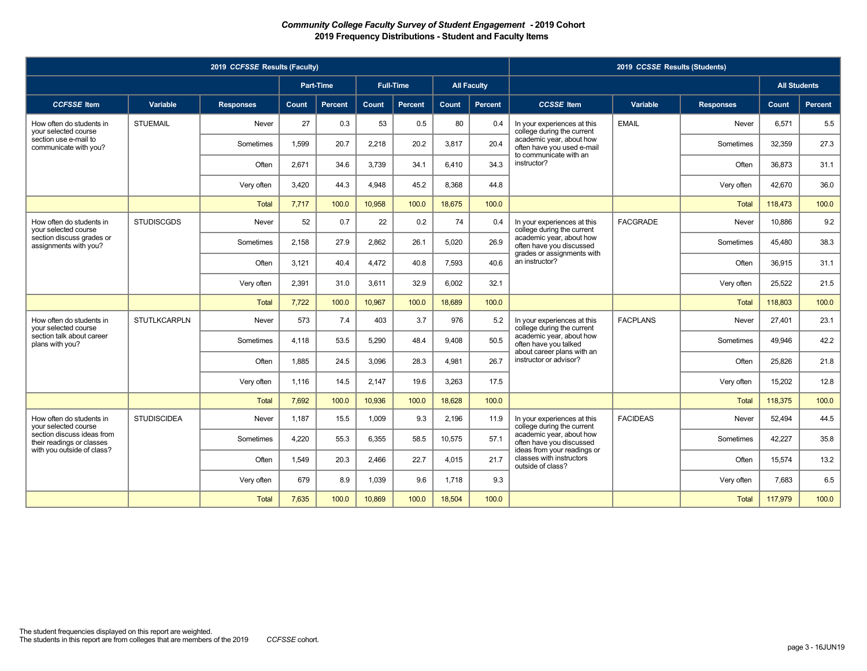|                                                         |                     | 2019 CCFSSE Results (Faculty) |       |                  |        |                  |              |                    |                                                                                     | 2019 CCSSE Results (Students) |                  |                     |                |
|---------------------------------------------------------|---------------------|-------------------------------|-------|------------------|--------|------------------|--------------|--------------------|-------------------------------------------------------------------------------------|-------------------------------|------------------|---------------------|----------------|
|                                                         |                     |                               |       | <b>Part-Time</b> |        | <b>Full-Time</b> |              | <b>All Faculty</b> |                                                                                     |                               |                  | <b>All Students</b> |                |
| <b>CCFSSE</b> Item                                      | Variable            | <b>Responses</b>              | Count | <b>Percent</b>   | Count  | Percent          | <b>Count</b> | Percent            | <b>CCSSE</b> Item                                                                   | Variable                      | <b>Responses</b> | Count               | <b>Percent</b> |
| How often do students in<br>your selected course        | <b>STUEMAIL</b>     | Never                         | 27    | 0.3              | 53     | 0.5              | 80           | 0.4                | In your experiences at this<br>college during the current                           | <b>EMAIL</b>                  | Never            | 6.571               | 5.5            |
| section use e-mail to<br>communicate with you?          |                     | Sometimes                     | 1.599 | 20.7             | 2,218  | 20.2             | 3,817        | 20.4               | academic year, about how<br>often have you used e-mail                              |                               | Sometimes        | 32,359              | 27.3           |
|                                                         |                     | Often                         | 2,671 | 34.6             | 3,739  | 34.1             | 6.410        | 34.3               | to communicate with an<br>instructor?                                               |                               | Often            | 36,873              | 31.1           |
|                                                         |                     | Very often                    | 3,420 | 44.3             | 4,948  | 45.2             | 8,368        | 44.8               |                                                                                     |                               | Very often       | 42,670              | 36.0           |
|                                                         |                     | <b>Total</b>                  | 7,717 | 100.0            | 10,958 | 100.0            | 18,675       | 100.0              |                                                                                     |                               | <b>Total</b>     | 118,473             | 100.0          |
| How often do students in<br>vour selected course        | <b>STUDISCGDS</b>   | Never                         | 52    | 0.7              | 22     | 0.2              | 74           | 0.4                | In your experiences at this<br>college during the current                           | <b>FACGRADE</b>               | Never            | 10.886              | 9.2            |
| section discuss grades or<br>assignments with you?      |                     | Sometimes                     | 2,158 | 27.9             | 2,862  | 26.1             | 5,020        | 26.9               | academic year, about how<br>often have you discussed                                |                               | Sometimes        | 45,480              | 38.3           |
|                                                         |                     | Often                         | 3.121 | 40.4             | 4.472  | 40.8             | 7.593        | 40.6               | grades or assignments with<br>an instructor?                                        |                               | Often            | 36,915              | 31.1           |
|                                                         |                     | Very often                    | 2.391 | 31.0             | 3,611  | 32.9             | 6.002        | 32.1               |                                                                                     |                               | Very often       | 25,522              | 21.5           |
|                                                         |                     | <b>Total</b>                  | 7,722 | 100.0            | 10.967 | 100.0            | 18.689       | 100.0              |                                                                                     |                               | <b>Total</b>     | 118,803             | 100.0          |
| How often do students in<br>vour selected course        | <b>STUTLKCARPLN</b> | Never                         | 573   | 7.4              | 403    | 3.7              | 976          | 5.2                | In your experiences at this<br>college during the current                           | <b>FACPLANS</b>               | Never            | 27.401              | 23.1           |
| section talk about career<br>plans with you?            |                     | Sometimes                     | 4.118 | 53.5             | 5,290  | 48.4             | 9.408        | 50.5               | academic year, about how<br>often have you talked                                   |                               | Sometimes        | 49,946              | 42.2           |
|                                                         |                     | Often                         | 1,885 | 24.5             | 3,096  | 28.3             | 4,981        | 26.7               | about career plans with an<br>instructor or advisor?                                |                               | Often            | 25,826              | 21.8           |
|                                                         |                     | Very often                    | 1.116 | 14.5             | 2.147  | 19.6             | 3.263        | 17.5               |                                                                                     |                               | Very often       | 15.202              | 12.8           |
|                                                         |                     | <b>Total</b>                  | 7.692 | 100.0            | 10.936 | 100.0            | 18.628       | 100.0              |                                                                                     |                               | <b>Total</b>     | 118,375             | 100.0          |
| How often do students in<br>vour selected course        | <b>STUDISCIDEA</b>  | Never                         | 1,187 | 15.5             | 1,009  | 9.3              | 2,196        | 11.9               | In your experiences at this<br>college during the current                           | <b>FACIDEAS</b>               | Never            | 52,494              | 44.5           |
| section discuss ideas from<br>their readings or classes |                     | Sometimes                     | 4.220 | 55.3             | 6,355  | 58.5             | 10.575       | 57.1               | academic year, about how<br>often have you discussed<br>ideas from your readings or |                               | Sometimes        | 42.227              | 35.8           |
| with you outside of class?                              |                     | Often                         | 1.549 | 20.3             | 2,466  | 22.7             | 4,015        | 21.7               | classes with instructors<br>outside of class?                                       |                               | Often            | 15.574              | 13.2           |
|                                                         |                     | Very often                    | 679   | 8.9              | 1,039  | 9.6              | 1,718        | 9.3                |                                                                                     |                               | Very often       | 7,683               | 6.5            |
|                                                         |                     | <b>Total</b>                  | 7.635 | 100.0            | 10,869 | 100.0            | 18,504       | 100.0              |                                                                                     |                               | <b>Total</b>     | 117,979             | 100.0          |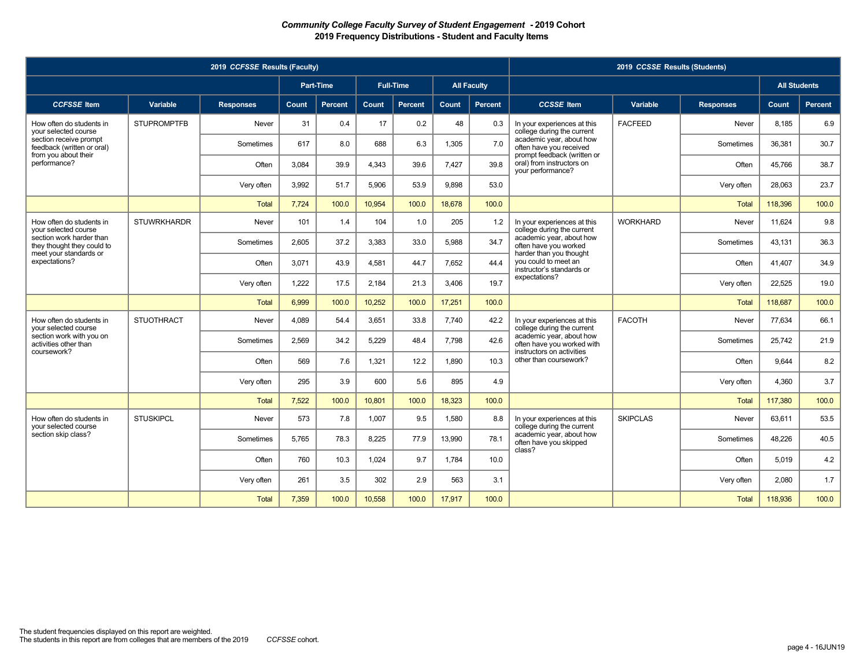|                                                        |                    | 2019 CCFSSE Results (Faculty) |       |                  |        |                  |        |                    |                                                                                     | 2019 CCSSE Results (Students) |                  |                     |                |
|--------------------------------------------------------|--------------------|-------------------------------|-------|------------------|--------|------------------|--------|--------------------|-------------------------------------------------------------------------------------|-------------------------------|------------------|---------------------|----------------|
|                                                        |                    |                               |       | <b>Part-Time</b> |        | <b>Full-Time</b> |        | <b>All Faculty</b> |                                                                                     |                               |                  | <b>All Students</b> |                |
| <b>CCFSSE</b> Item                                     | Variable           | <b>Responses</b>              | Count | <b>Percent</b>   | Count  | <b>Percent</b>   | Count  | Percent            | <b>CCSSE</b> Item                                                                   | Variable                      | <b>Responses</b> | Count               | <b>Percent</b> |
| How often do students in<br>your selected course       | <b>STUPROMPTFB</b> | Never                         | 31    | 0.4              | 17     | 0.2              | 48     | 0.3                | In your experiences at this<br>college during the current                           | <b>FACFEED</b>                | Never            | 8.185               | 6.9            |
| section receive prompt<br>feedback (written or oral)   |                    | Sometimes                     | 617   | 8.0              | 688    | 6.3              | 1,305  | 7.0                | academic year, about how<br>often have you received                                 |                               | Sometimes        | 36,381              | 30.7           |
| from you about their<br>performance?                   |                    | Often                         | 3,084 | 39.9             | 4,343  | 39.6             | 7,427  | 39.8               | prompt feedback (written or<br>oral) from instructors on<br>your performance?       |                               | Often            | 45,766              | 38.7           |
|                                                        |                    | Very often                    | 3.992 | 51.7             | 5,906  | 53.9             | 9.898  | 53.0               |                                                                                     |                               | Very often       | 28,063              | 23.7           |
|                                                        |                    | <b>Total</b>                  | 7.724 | 100.0            | 10.954 | 100.0            | 18.678 | 100.0              |                                                                                     |                               | Total            | 118,396             | 100.0          |
| How often do students in<br>vour selected course       | <b>STUWRKHARDR</b> | Never                         | 101   | 1.4              | 104    | 1.0              | 205    | 1.2                | In your experiences at this<br>college during the current                           | <b>WORKHARD</b>               | Never            | 11,624              | 9.8            |
| section work harder than<br>they thought they could to |                    | Sometimes                     | 2.605 | 37.2             | 3,383  | 33.0             | 5.988  | 34.7               | academic year, about how<br>often have you worked                                   |                               | Sometimes        | 43.131              | 36.3           |
| meet your standards or<br>expectations?                |                    | Often                         | 3.071 | 43.9             | 4,581  | 44.7             | 7,652  | 44.4               | harder than you thought<br>you could to meet an<br>instructor's standards or        |                               | Often            | 41,407              | 34.9           |
|                                                        |                    | Very often                    | 1,222 | 17.5             | 2,184  | 21.3             | 3,406  | 19.7               | expectations?                                                                       |                               | Very often       | 22,525              | 19.0           |
|                                                        |                    | <b>Total</b>                  | 6.999 | 100.0            | 10,252 | 100.0            | 17,251 | 100.0              |                                                                                     |                               | <b>Total</b>     | 118,687             | 100.0          |
| How often do students in<br>vour selected course       | <b>STUOTHRACT</b>  | Never                         | 4,089 | 54.4             | 3,651  | 33.8             | 7.740  | 42.2               | In your experiences at this<br>college during the current                           | <b>FACOTH</b>                 | Never            | 77,634              | 66.1           |
| section work with you on<br>activities other than      |                    | Sometimes                     | 2.569 | 34.2             | 5.229  | 48.4             | 7.798  | 42.6               | academic year, about how<br>often have you worked with<br>instructors on activities |                               | Sometimes        | 25,742              | 21.9           |
| coursework?                                            |                    | Often                         | 569   | 7.6              | 1,321  | 12.2             | 1.890  | 10.3               | other than coursework?                                                              |                               | Often            | 9.644               | 8.2            |
|                                                        |                    | Very often                    | 295   | 3.9              | 600    | 5.6              | 895    | 4.9                |                                                                                     |                               | Very often       | 4,360               | 3.7            |
|                                                        |                    | <b>Total</b>                  | 7,522 | 100.0            | 10,801 | 100.0            | 18,323 | 100.0              |                                                                                     |                               | <b>Total</b>     | 117,380             | 100.0          |
| How often do students in<br>vour selected course       | <b>STUSKIPCL</b>   | Never                         | 573   | 7.8              | 1,007  | 9.5              | 1,580  | 8.8                | In your experiences at this<br>college during the current                           | <b>SKIPCLAS</b>               | Never            | 63,611              | 53.5           |
| section skip class?                                    |                    | Sometimes                     | 5,765 | 78.3             | 8,225  | 77.9             | 13,990 | 78.1               | academic year, about how<br>often have you skipped<br>class?                        |                               | Sometimes        | 48,226              | 40.5           |
|                                                        |                    | Often                         | 760   | 10.3             | 1.024  | 9.7              | 1.784  | 10.0               |                                                                                     |                               | Often            | 5.019               | 4.2            |
|                                                        |                    | Very often                    | 261   | 3.5              | 302    | 2.9              | 563    | 3.1                |                                                                                     |                               | Very often       | 2.080               | 1.7            |
|                                                        |                    | <b>Total</b>                  | 7,359 | 100.0            | 10,558 | 100.0            | 17,917 | 100.0              |                                                                                     |                               | <b>Total</b>     | 118,936             | 100.0          |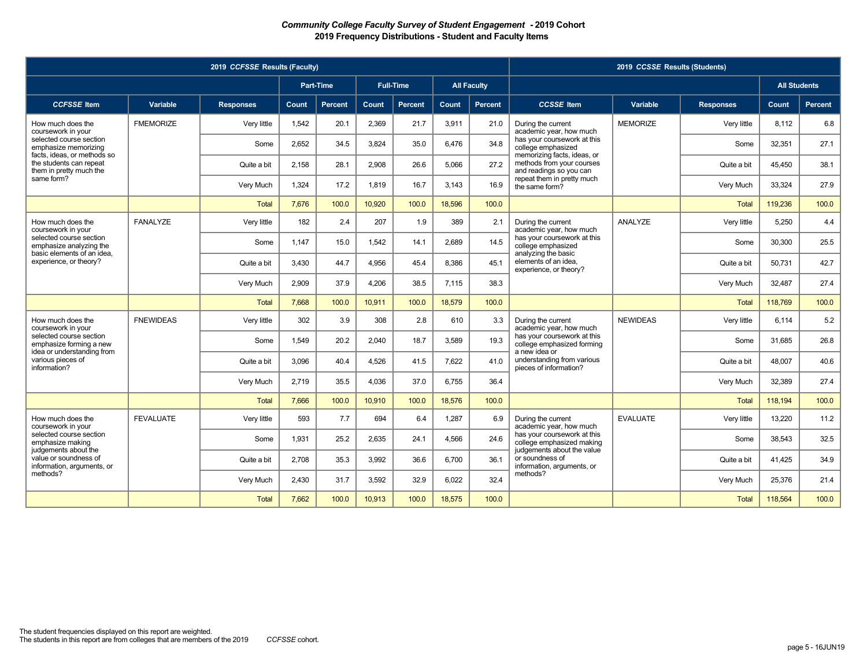|                                                                                   |                  | 2019 CCFSSE Results (Faculty) |       |                  |        |                  |        |                    |                                                                                     | 2019 CCSSE Results (Students) |                  |                     |                |
|-----------------------------------------------------------------------------------|------------------|-------------------------------|-------|------------------|--------|------------------|--------|--------------------|-------------------------------------------------------------------------------------|-------------------------------|------------------|---------------------|----------------|
|                                                                                   |                  |                               |       | <b>Part-Time</b> |        | <b>Full-Time</b> |        | <b>All Faculty</b> |                                                                                     |                               |                  | <b>All Students</b> |                |
| <b>CCFSSE</b> Item                                                                | Variable         | <b>Responses</b>              | Count | <b>Percent</b>   | Count  | <b>Percent</b>   | Count  | Percent            | <b>CCSSE</b> Item                                                                   | Variable                      | <b>Responses</b> | Count               | <b>Percent</b> |
| How much does the<br>coursework in your                                           | <b>FMEMORIZE</b> | Very little                   | 1,542 | 20.1             | 2,369  | 21.7             | 3,911  | 21.0               | During the current<br>academic year, how much                                       | <b>MEMORIZE</b>               | Very little      | 8.112               | 6.8            |
| selected course section<br>emphasize memorizing                                   |                  | Some                          | 2,652 | 34.5             | 3,824  | 35.0             | 6,476  | 34.8               | has your coursework at this<br>college emphasized                                   |                               | Some             | 32,351              | 27.1           |
| facts, ideas, or methods so<br>the students can repeat<br>them in pretty much the |                  | Quite a bit                   | 2.158 | 28.1             | 2.908  | 26.6             | 5.066  | 27.2               | memorizing facts, ideas, or<br>methods from your courses<br>and readings so you can |                               | Quite a bit      | 45.450              | 38.1           |
| same form?                                                                        |                  | Very Much                     | 1,324 | 17.2             | 1,819  | 16.7             | 3.143  | 16.9               | repeat them in pretty much<br>the same form?                                        |                               | Very Much        | 33,324              | 27.9           |
|                                                                                   |                  | <b>Total</b>                  | 7.676 | 100.0            | 10.920 | 100.0            | 18.596 | 100.0              |                                                                                     |                               | <b>Total</b>     | 119.236             | 100.0          |
| How much does the<br>coursework in your                                           | <b>FANALYZE</b>  | Very little                   | 182   | 2.4              | 207    | 1.9              | 389    | 2.1                | During the current<br>academic year, how much                                       | ANALYZE                       | Verv little      | 5.250               | 4.4            |
| selected course section<br>emphasize analyzing the                                |                  | Some                          | 1.147 | 15.0             | 1,542  | 14.1             | 2.689  | 14.5               | has your coursework at this<br>college emphasized                                   |                               | Some             | 30,300              | 25.5           |
| basic elements of an idea,<br>experience, or theory?                              |                  | Quite a bit                   | 3.430 | 44.7             | 4.956  | 45.4             | 8.386  | 45.1               | analyzing the basic<br>elements of an idea.<br>experience, or theory?               |                               | Quite a bit      | 50.731              | 42.7           |
|                                                                                   |                  | Very Much                     | 2.909 | 37.9             | 4,206  | 38.5             | 7.115  | 38.3               |                                                                                     |                               | Very Much        | 32.487              | 27.4           |
|                                                                                   |                  | <b>Total</b>                  | 7.668 | 100.0            | 10.911 | 100.0            | 18.579 | 100.0              |                                                                                     |                               | <b>Total</b>     | 118.769             | 100.0          |
| How much does the<br>coursework in your                                           | <b>FNEWIDEAS</b> | Very little                   | 302   | 3.9              | 308    | 2.8              | 610    | 3.3                | During the current<br>academic year, how much                                       | <b>NEWIDEAS</b>               | Very little      | 6.114               | 5.2            |
| selected course section<br>emphasize forming a new                                |                  | Some                          | 1,549 | 20.2             | 2,040  | 18.7             | 3,589  | 19.3               | has your coursework at this<br>college emphasized forming                           |                               | Some             | 31,685              | 26.8           |
| idea or understanding from<br>various pieces of<br>information?                   |                  | Quite a bit                   | 3.096 | 40.4             | 4.526  | 41.5             | 7.622  | 41.0               | a new idea or<br>understanding from various<br>pieces of information?               |                               | Quite a bit      | 48.007              | 40.6           |
|                                                                                   |                  | Very Much                     | 2,719 | 35.5             | 4,036  | 37.0             | 6.755  | 36.4               |                                                                                     |                               | Very Much        | 32.389              | 27.4           |
|                                                                                   |                  | <b>Total</b>                  | 7.666 | 100.0            | 10,910 | 100.0            | 18,576 | 100.0              |                                                                                     |                               | <b>Total</b>     | 118,194             | 100.0          |
| How much does the<br>coursework in your                                           | <b>FEVALUATE</b> | Very little                   | 593   | 7.7              | 694    | 6.4              | 1.287  | 6.9                | During the current<br>academic year, how much                                       | <b>EVALUATE</b>               | Very little      | 13.220              | 11.2           |
| selected course section<br>emphasize making                                       |                  | Some                          | 1,931 | 25.2             | 2,635  | 24.1             | 4,566  | 24.6               | has your coursework at this<br>college emphasized making                            |                               | Some             | 38,543              | 32.5           |
| judgements about the<br>value or soundness of<br>information, arguments, or       |                  | Quite a bit                   | 2.708 | 35.3             | 3,992  | 36.6             | 6.700  | 36.1               | judgements about the value<br>or soundness of<br>information, arguments, or         |                               | Quite a bit      | 41,425              | 34.9           |
| methods?                                                                          |                  | Very Much                     | 2,430 | 31.7             | 3,592  | 32.9             | 6,022  | 32.4               | methods?                                                                            |                               | Very Much        | 25,376              | 21.4           |
|                                                                                   |                  | <b>Total</b>                  | 7.662 | 100.0            | 10,913 | 100.0            | 18,575 | 100.0              |                                                                                     |                               | <b>Total</b>     | 118,564             | 100.0          |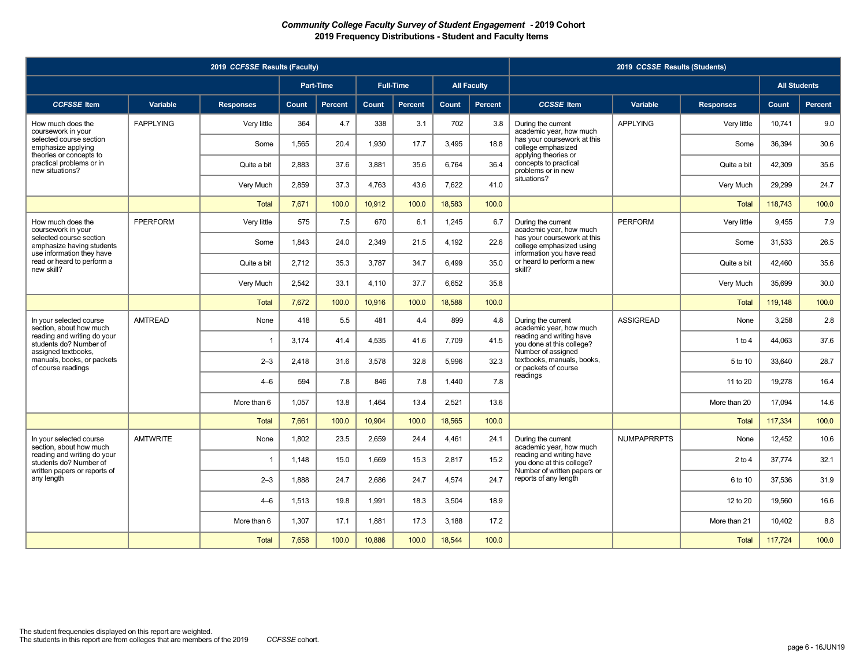|                                                                                   |                  | 2019 CCFSSE Results (Faculty) |       |                |        |                  |        |                    |                                                                                      | 2019 CCSSE Results (Students) |                  |                     |                |
|-----------------------------------------------------------------------------------|------------------|-------------------------------|-------|----------------|--------|------------------|--------|--------------------|--------------------------------------------------------------------------------------|-------------------------------|------------------|---------------------|----------------|
|                                                                                   |                  |                               |       | Part-Time      |        | <b>Full-Time</b> |        | <b>All Faculty</b> |                                                                                      |                               |                  | <b>All Students</b> |                |
| <b>CCFSSE</b> Item                                                                | Variable         | <b>Responses</b>              | Count | <b>Percent</b> | Count  | <b>Percent</b>   | Count  | Percent            | <b>CCSSE</b> Item                                                                    | Variable                      | <b>Responses</b> | Count               | <b>Percent</b> |
| How much does the<br>coursework in your                                           | <b>FAPPLYING</b> | Very little                   | 364   | 4.7            | 338    | 3.1              | 702    | 3.8                | During the current<br>academic year, how much                                        | <b>APPLYING</b>               | Very little      | 10,741              | 9.0            |
| selected course section<br>emphasize applying<br>theories or concepts to          |                  | Some                          | 1,565 | 20.4           | 1,930  | 17.7             | 3,495  | 18.8               | has your coursework at this<br>college emphasized<br>applying theories or            |                               | Some             | 36,394              | 30.6           |
| practical problems or in<br>new situations?                                       |                  | Quite a bit                   | 2,883 | 37.6           | 3,881  | 35.6             | 6,764  | 36.4               | concepts to practical<br>problems or in new                                          |                               | Quite a bit      | 42,309              | 35.6           |
|                                                                                   |                  | Very Much                     | 2.859 | 37.3           | 4,763  | 43.6             | 7.622  | 41.0               | situations?                                                                          |                               | Very Much        | 29.299              | 24.7           |
|                                                                                   |                  | <b>Total</b>                  | 7,671 | 100.0          | 10,912 | 100.0            | 18,583 | 100.0              |                                                                                      |                               | <b>Total</b>     | 118,743             | 100.0          |
| How much does the<br>coursework in your                                           | <b>FPERFORM</b>  | Very little                   | 575   | 7.5            | 670    | 6.1              | 1,245  | 6.7                | During the current<br>academic year, how much                                        | <b>PERFORM</b>                | Very little      | 9.455               | 7.9            |
| selected course section<br>emphasize having students<br>use information they have |                  | Some                          | 1.843 | 24.0           | 2.349  | 21.5             | 4.192  | 22.6               | has your coursework at this<br>college emphasized using<br>information you have read |                               | Some             | 31,533              | 26.5           |
| read or heard to perform a<br>new skill?                                          |                  | Quite a bit                   | 2.712 | 35.3           | 3.787  | 34.7             | 6.499  | 35.0               | or heard to perform a new<br>skill?                                                  |                               | Quite a bit      | 42.460              | 35.6           |
|                                                                                   |                  | Very Much                     | 2.542 | 33.1           | 4.110  | 37.7             | 6.652  | 35.8               |                                                                                      |                               | Very Much        | 35.699              | 30.0           |
|                                                                                   |                  | <b>Total</b>                  | 7,672 | 100.0          | 10,916 | 100.0            | 18,588 | 100.0              |                                                                                      |                               | <b>Total</b>     | 119,148             | 100.0          |
| In your selected course<br>section, about how much                                | <b>AMTREAD</b>   | None                          | 418   | 5.5            | 481    | 4.4              | 899    | 4.8                | During the current<br>academic year, how much                                        | <b>ASSIGREAD</b>              | None             | 3,258               | 2.8            |
| reading and writing do your<br>students do? Number of<br>assigned textbooks,      |                  | $\overline{1}$                | 3,174 | 41.4           | 4,535  | 41.6             | 7,709  | 41.5               | reading and writing have<br>you done at this college?<br>Number of assigned          |                               | 1 to 4           | 44,063              | 37.6           |
| manuals, books, or packets<br>of course readings                                  |                  | $2 - 3$                       | 2,418 | 31.6           | 3,578  | 32.8             | 5,996  | 32.3               | textbooks, manuals, books,<br>or packets of course                                   |                               | 5 to 10          | 33,640              | 28.7           |
|                                                                                   |                  | $4 - 6$                       | 594   | 7.8            | 846    | 7.8              | 1,440  | 7.8                | readings                                                                             |                               | 11 to 20         | 19,278              | 16.4           |
|                                                                                   |                  | More than 6                   | 1.057 | 13.8           | 1,464  | 13.4             | 2,521  | 13.6               |                                                                                      |                               | More than 20     | 17,094              | 14.6           |
|                                                                                   |                  | <b>Total</b>                  | 7,661 | 100.0          | 10,904 | 100.0            | 18,565 | 100.0              |                                                                                      |                               | <b>Total</b>     | 117,334             | 100.0          |
| In your selected course<br>section, about how much                                | <b>AMTWRITE</b>  | None                          | 1,802 | 23.5           | 2,659  | 24.4             | 4,461  | 24.1               | During the current<br>academic year, how much                                        | <b>NUMPAPRRPTS</b>            | None             | 12,452              | 10.6           |
| reading and writing do your<br>students do? Number of                             |                  | $\overline{1}$                | 1.148 | 15.0           | 1.669  | 15.3             | 2.817  | 15.2               | reading and writing have<br>you done at this college?<br>Number of written papers or |                               | 2 to 4           | 37.774              | 32.1           |
| written papers or reports of<br>any length                                        |                  | $2 - 3$                       | 1,888 | 24.7           | 2,686  | 24.7             | 4,574  | 24.7               | reports of any length                                                                |                               | 6 to 10          | 37,536              | 31.9           |
|                                                                                   |                  | $4 - 6$                       | 1.513 | 19.8           | 1.991  | 18.3             | 3.504  | 18.9               |                                                                                      |                               | 12 to 20         | 19.560              | 16.6           |
|                                                                                   |                  | More than 6                   | 1.307 | 17.1           | 1.881  | 17.3             | 3.188  | 17.2               |                                                                                      |                               | More than 21     | 10.402              | 8.8            |
|                                                                                   |                  | <b>Total</b>                  | 7.658 | 100.0          | 10.886 | 100.0            | 18.544 | 100.0              |                                                                                      |                               | <b>Total</b>     | 117,724             | 100.0          |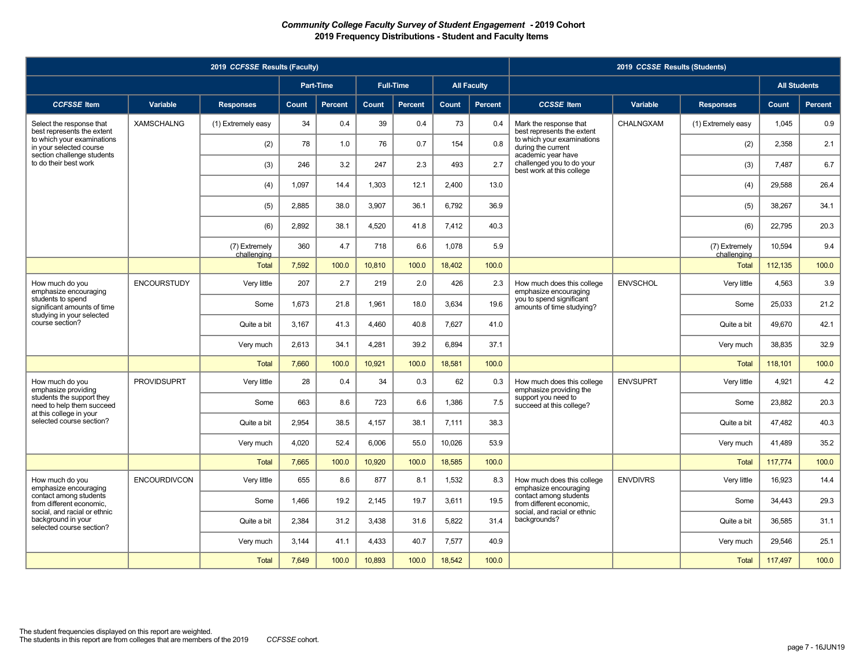|                                                                                   |                     | 2019 CCFSSE Results (Faculty) |              |                |        |                  |        |                    |                                                                              | 2019 CCSSE Results (Students) |                              |                     |                |
|-----------------------------------------------------------------------------------|---------------------|-------------------------------|--------------|----------------|--------|------------------|--------|--------------------|------------------------------------------------------------------------------|-------------------------------|------------------------------|---------------------|----------------|
|                                                                                   |                     |                               |              | Part-Time      |        | <b>Full-Time</b> |        | <b>All Faculty</b> |                                                                              |                               |                              | <b>All Students</b> |                |
| <b>CCFSSE</b> Item                                                                | Variable            | <b>Responses</b>              | <b>Count</b> | <b>Percent</b> | Count  | <b>Percent</b>   | Count  | <b>Percent</b>     | <b>CCSSE</b> Item                                                            | <b>Variable</b>               | <b>Responses</b>             | Count               | <b>Percent</b> |
| Select the response that<br>best represents the extent                            | <b>XAMSCHALNG</b>   | (1) Extremely easy            | 34           | 0.4            | 39     | 0.4              | 73     | 0.4                | Mark the response that<br>best represents the extent                         | CHALNGXAM                     | (1) Extremely easy           | 1.045               | 0.9            |
| to which your examinations<br>in your selected course                             |                     | (2)                           | 78           | 1.0            | 76     | 0.7              | 154    | 0.8                | to which your examinations<br>during the current                             |                               | (2)                          | 2.358               | 2.1            |
| section challenge students<br>to do their best work                               |                     | (3)                           | 246          | 3.2            | 247    | 2.3              | 493    | 2.7                | academic year have<br>challenged you to do your<br>best work at this college |                               | (3)                          | 7.487               | 6.7            |
|                                                                                   |                     | (4)                           | 1.097        | 14.4           | 1.303  | 12.1             | 2.400  | 13.0               |                                                                              |                               | (4)                          | 29.588              | 26.4           |
|                                                                                   |                     | (5)                           | 2.885        | 38.0           | 3.907  | 36.1             | 6.792  | 36.9               |                                                                              |                               | (5)                          | 38,267              | 34.1           |
|                                                                                   |                     | (6)                           | 2.892        | 38.1           | 4,520  | 41.8             | 7.412  | 40.3               |                                                                              |                               | (6)                          | 22,795              | 20.3           |
|                                                                                   |                     | (7) Extremely<br>challenging  | 360          | 4.7            | 718    | 6.6              | 1.078  | 5.9                |                                                                              |                               | (7) Extremely<br>challenging | 10.594              | 9.4            |
|                                                                                   |                     | <b>Total</b>                  | 7.592        | 100.0          | 10,810 | 100.0            | 18,402 | 100.0              |                                                                              |                               | <b>Total</b>                 | 112.135             | 100.0          |
| How much do you<br>emphasize encouraging                                          | <b>ENCOURSTUDY</b>  | Very little                   | 207          | 2.7            | 219    | 2.0              | 426    | 2.3                | How much does this college<br>emphasize encouraging                          | <b>ENVSCHOL</b>               | Very little                  | 4.563               | 3.9            |
| students to spend<br>significant amounts of time<br>studying in your selected     |                     | Some                          | 1.673        | 21.8           | 1,961  | 18.0             | 3.634  | 19.6               | you to spend significant<br>amounts of time studving?                        |                               | Some                         | 25.033              | 21.2           |
| course section?                                                                   |                     | Quite a bit                   | 3.167        | 41.3           | 4,460  | 40.8             | 7.627  | 41.0               |                                                                              |                               | Quite a bit                  | 49.670              | 42.1           |
|                                                                                   |                     | Very much                     | 2,613        | 34.1           | 4,281  | 39.2             | 6.894  | 37.1               |                                                                              |                               | Very much                    | 38,835              | 32.9           |
|                                                                                   |                     | <b>Total</b>                  | 7.660        | 100.0          | 10,921 | 100.0            | 18,581 | 100.0              |                                                                              |                               | <b>Total</b>                 | 118,101             | 100.0          |
| How much do you<br>emphasize providing                                            | <b>PROVIDSUPRT</b>  | Very little                   | 28           | 0.4            | 34     | 0.3              | 62     | 0.3                | How much does this college<br>emphasize providing the                        | <b>ENVSUPRT</b>               | Very little                  | 4,921               | 4.2            |
| students the support they<br>need to help them succeed<br>at this college in your |                     | Some                          | 663          | 8.6            | 723    | 6.6              | 1,386  | 7.5                | support you need to<br>succeed at this college?                              |                               | Some                         | 23,882              | 20.3           |
| selected course section?                                                          |                     | Quite a bit                   | 2.954        | 38.5           | 4,157  | 38.1             | 7,111  | 38.3               |                                                                              |                               | Quite a bit                  | 47,482              | 40.3           |
|                                                                                   |                     | Very much                     | 4,020        | 52.4           | 6,006  | 55.0             | 10,026 | 53.9               |                                                                              |                               | Very much                    | 41,489              | 35.2           |
|                                                                                   |                     | <b>Total</b>                  | 7.665        | 100.0          | 10.920 | 100.0            | 18.585 | 100.0              |                                                                              |                               | <b>Total</b>                 | 117,774             | 100.0          |
| How much do you<br>emphasize encouraging                                          | <b>ENCOURDIVCON</b> | Very little                   | 655          | 8.6            | 877    | 8.1              | 1,532  | 8.3                | How much does this college<br>emphasize encouraging                          | <b>ENVDIVRS</b>               | Very little                  | 16.923              | 14.4           |
| contact among students<br>from different economic,                                |                     | Some                          | 1.466        | 19.2           | 2,145  | 19.7             | 3.611  | 19.5               | contact among students<br>from different economic.                           |                               | Some                         | 34,443              | 29.3           |
| social, and racial or ethnic<br>background in your<br>selected course section?    |                     | Quite a bit                   | 2.384        | 31.2           | 3,438  | 31.6             | 5,822  | 31.4               | social, and racial or ethnic<br>backgrounds?                                 |                               | Quite a bit                  | 36.585              | 31.1           |
|                                                                                   |                     | Very much                     | 3.144        | 41.1           | 4,433  | 40.7             | 7,577  | 40.9               |                                                                              |                               | Very much                    | 29.546              | 25.1           |
|                                                                                   |                     | <b>Total</b>                  | 7,649        | 100.0          | 10,893 | 100.0            | 18,542 | 100.0              |                                                                              |                               | <b>Total</b>                 | 117,497             | 100.0          |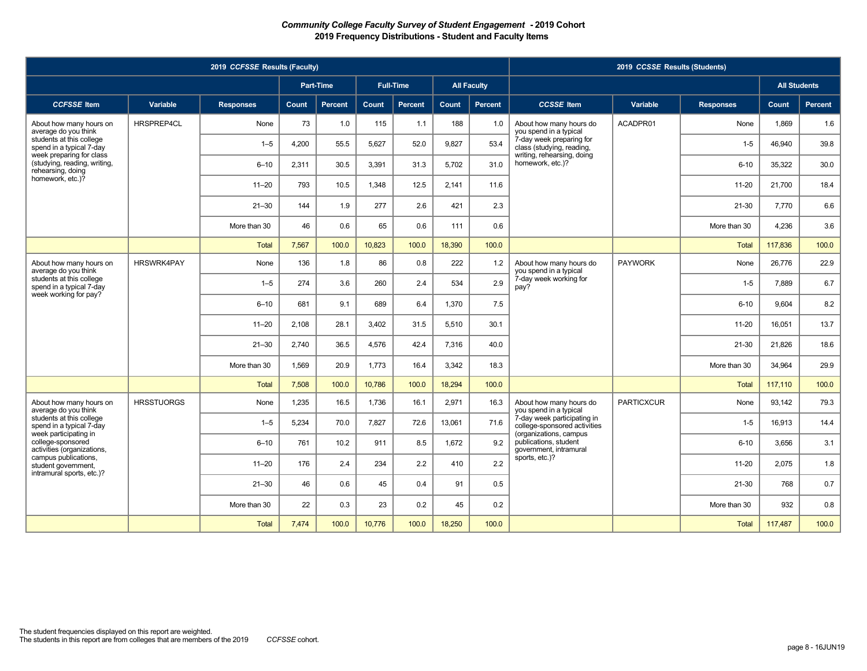|                                                                               |                   | 2019 CCFSSE Results (Faculty) |       |                |        |                  |              |                    |                                                                           | 2019 CCSSE Results (Students) |                  |                     |         |
|-------------------------------------------------------------------------------|-------------------|-------------------------------|-------|----------------|--------|------------------|--------------|--------------------|---------------------------------------------------------------------------|-------------------------------|------------------|---------------------|---------|
|                                                                               |                   |                               |       | Part-Time      |        | <b>Full-Time</b> |              | <b>All Faculty</b> |                                                                           |                               |                  | <b>All Students</b> |         |
| <b>CCFSSE</b> Item                                                            | Variable          | <b>Responses</b>              | Count | <b>Percent</b> | Count  | Percent          | <b>Count</b> | <b>Percent</b>     | <b>CCSSE</b> Item                                                         | Variable                      | <b>Responses</b> | Count               | Percent |
| About how many hours on<br>average do you think                               | HRSPREP4CL        | None                          | 73    | 1.0            | 115    | 1.1              | 188          | 1.0                | About how many hours do<br>you spend in a typical                         | ACADPR01                      | None             | 1,869               | 1.6     |
| students at this college<br>spend in a typical 7-day                          |                   | $1 - 5$                       | 4.200 | 55.5           | 5,627  | 52.0             | 9.827        | 53.4               | 7-day week preparing for<br>class (studying, reading,                     |                               | $1 - 5$          | 46.940              | 39.8    |
| week preparing for class<br>(studying, reading, writing,<br>rehearsing, doing |                   | $6 - 10$                      | 2,311 | 30.5           | 3,391  | 31.3             | 5,702        | 31.0               | writing, rehearsing, doing<br>homework, etc.)?                            |                               | $6 - 10$         | 35,322              | 30.0    |
| homework, etc.)?                                                              |                   | $11 - 20$                     | 793   | 10.5           | 1.348  | 12.5             | 2.141        | 11.6               |                                                                           |                               | $11 - 20$        | 21,700              | 18.4    |
|                                                                               |                   | $21 - 30$                     | 144   | 1.9            | 277    | 2.6              | 421          | 2.3                |                                                                           |                               | $21 - 30$        | 7,770               | 6.6     |
|                                                                               |                   | More than 30                  | 46    | 0.6            | 65     | 0.6              | 111          | 0.6                |                                                                           |                               | More than 30     | 4,236               | 3.6     |
|                                                                               |                   | <b>Total</b>                  | 7,567 | 100.0          | 10,823 | 100.0            | 18,390       | 100.0              |                                                                           |                               | <b>Total</b>     | 117,836             | 100.0   |
| About how many hours on<br>average do you think                               | <b>HRSWRK4PAY</b> | None                          | 136   | 1.8            | 86     | 0.8              | 222          | 1.2                | About how many hours do<br>you spend in a typical                         | <b>PAYWORK</b>                | None             | 26,776              | 22.9    |
| students at this college<br>spend in a typical 7-day                          |                   | $1 - 5$                       | 274   | 3.6            | 260    | 2.4              | 534          | 2.9                | 7-day week working for<br>pay?                                            |                               | $1-5$            | 7,889               | 6.7     |
| week working for pay?                                                         |                   | $6 - 10$                      | 681   | 9.1            | 689    | 6.4              | 1,370        | 7.5                |                                                                           |                               | $6 - 10$         | 9,604               | 8.2     |
|                                                                               |                   | $11 - 20$                     | 2,108 | 28.1           | 3,402  | 31.5             | 5,510        | 30.1               |                                                                           |                               | $11 - 20$        | 16,051              | 13.7    |
|                                                                               |                   | $21 - 30$                     | 2,740 | 36.5           | 4,576  | 42.4             | 7,316        | 40.0               |                                                                           |                               | $21 - 30$        | 21,826              | 18.6    |
|                                                                               |                   | More than 30                  | 1.569 | 20.9           | 1,773  | 16.4             | 3.342        | 18.3               |                                                                           |                               | More than 30     | 34.964              | 29.9    |
|                                                                               |                   | <b>Total</b>                  | 7.508 | 100.0          | 10,786 | 100.0            | 18.294       | 100.0              |                                                                           |                               | <b>Total</b>     | 117,110             | 100.0   |
| About how many hours on<br>average do you think                               | <b>HRSSTUORGS</b> | None                          | 1,235 | 16.5           | 1,736  | 16.1             | 2,971        | 16.3               | About how many hours do<br>you spend in a typical                         | <b>PARTICXCUR</b>             | None             | 93,142              | 79.3    |
| students at this college<br>spend in a typical 7-day<br>week participating in |                   | $1 - 5$                       | 5,234 | 70.0           | 7,827  | 72.6             | 13,061       | 71.6               | 7-day week participating in<br>college-sponsored activities               |                               | $1-5$            | 16,913              | 14.4    |
| college-sponsored<br>activities (organizations,                               |                   | $6 - 10$                      | 761   | 10.2           | 911    | 8.5              | 1.672        | 9.2                | (organizations, campus<br>publications, student<br>government, intramural |                               | $6 - 10$         | 3.656               | 3.1     |
| campus publications,<br>student government,<br>intramural sports, etc.)?      |                   | $11 - 20$                     | 176   | 2.4            | 234    | 2.2              | 410          | 2.2                | sports, etc.)?                                                            |                               | $11 - 20$        | 2,075               | 1.8     |
|                                                                               |                   | $21 - 30$                     | 46    | 0.6            | 45     | 0.4              | 91           | 0.5                |                                                                           |                               | 21-30            | 768                 | 0.7     |
|                                                                               |                   | More than 30                  | 22    | 0.3            | 23     | 0.2              | 45           | 0.2                |                                                                           |                               | More than 30     | 932                 | 0.8     |
|                                                                               |                   | <b>Total</b>                  | 7,474 | 100.0          | 10,776 | 100.0            | 18,250       | 100.0              |                                                                           |                               | Total            | 117,487             | 100.0   |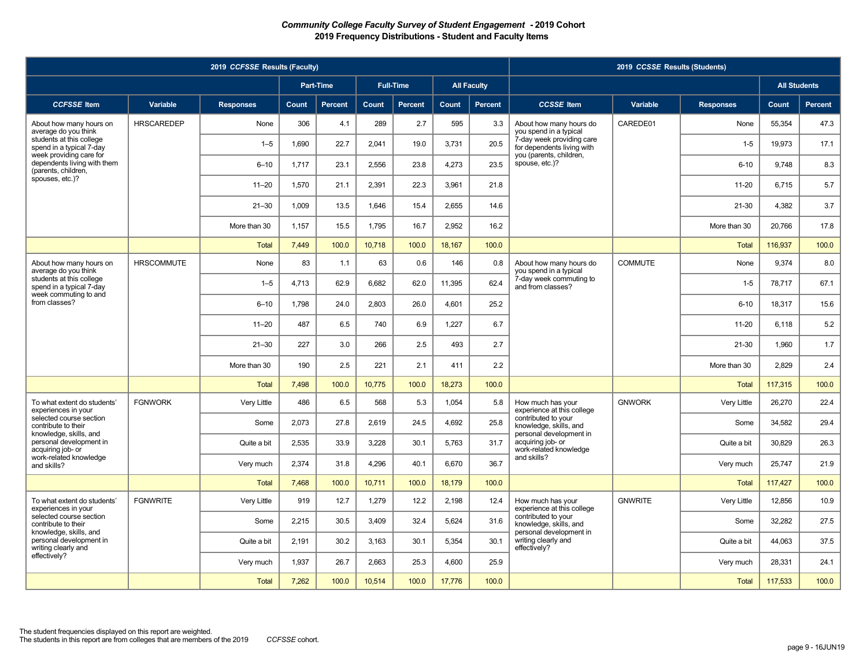|                                                                               |                   | 2019 CCFSSE Results (Faculty) |       |                |              |                  |        |                    |                                                                          | 2019 CCSSE Results (Students) |                  |                     |                |
|-------------------------------------------------------------------------------|-------------------|-------------------------------|-------|----------------|--------------|------------------|--------|--------------------|--------------------------------------------------------------------------|-------------------------------|------------------|---------------------|----------------|
|                                                                               |                   |                               |       | Part-Time      |              | <b>Full-Time</b> |        | <b>All Faculty</b> |                                                                          |                               |                  | <b>All Students</b> |                |
| <b>CCFSSE</b> Item                                                            | Variable          | <b>Responses</b>              | Count | <b>Percent</b> | <b>Count</b> | <b>Percent</b>   | Count  | Percent            | <b>CCSSE</b> Item                                                        | Variable                      | <b>Responses</b> | Count               | <b>Percent</b> |
| About how many hours on<br>average do you think                               | <b>HRSCAREDEP</b> | None                          | 306   | 4.1            | 289          | 2.7              | 595    | 3.3                | About how many hours do<br>you spend in a typical                        | CAREDE01                      | None             | 55.354              | 47.3           |
| students at this college<br>spend in a typical 7-day                          |                   | $1 - 5$                       | 1,690 | 22.7           | 2,041        | 19.0             | 3,731  | 20.5               | 7-day week providing care<br>for dependents living with                  |                               | $1-5$            | 19,973              | 17.1           |
| week providing care for<br>dependents living with them<br>(parents, children, |                   | $6 - 10$                      | 1,717 | 23.1           | 2,556        | 23.8             | 4,273  | 23.5               | vou (parents, children,<br>spouse, etc.)?                                |                               | $6 - 10$         | 9.748               | 8.3            |
| spouses, etc.)?                                                               |                   | $11 - 20$                     | 1,570 | 21.1           | 2,391        | 22.3             | 3,961  | 21.8               |                                                                          |                               | $11 - 20$        | 6,715               | 5.7            |
|                                                                               |                   | $21 - 30$                     | 1,009 | 13.5           | 1,646        | 15.4             | 2,655  | 14.6               |                                                                          |                               | 21-30            | 4,382               | 3.7            |
|                                                                               |                   | More than 30                  | 1.157 | 15.5           | 1.795        | 16.7             | 2.952  | 16.2               |                                                                          |                               | More than 30     | 20.766              | 17.8           |
|                                                                               |                   | <b>Total</b>                  | 7,449 | 100.0          | 10,718       | 100.0            | 18,167 | 100.0              |                                                                          |                               | <b>Total</b>     | 116,937             | 100.0          |
| About how many hours on<br>average do you think                               | <b>HRSCOMMUTE</b> | None                          | 83    | 1.1            | 63           | 0.6              | 146    | 0.8                | About how many hours do<br>you spend in a typical                        | <b>COMMUTE</b>                | None             | 9,374               | 8.0            |
| students at this college<br>spend in a typical 7-day                          |                   | $1 - 5$                       | 4,713 | 62.9           | 6,682        | 62.0             | 11,395 | 62.4               | 7-day week commuting to<br>and from classes?                             |                               | $1 - 5$          | 78,717              | 67.1           |
| week commuting to and<br>from classes?                                        |                   | $6 - 10$                      | 1,798 | 24.0           | 2,803        | 26.0             | 4,601  | 25.2               |                                                                          |                               | $6 - 10$         | 18,317              | 15.6           |
|                                                                               |                   | $11 - 20$                     | 487   | 6.5            | 740          | 6.9              | 1.227  | 6.7                |                                                                          |                               | $11 - 20$        | 6.118               | 5.2            |
|                                                                               |                   | $21 - 30$                     | 227   | 3.0            | 266          | 2.5              | 493    | 2.7                |                                                                          |                               | 21-30            | 1.960               | 1.7            |
|                                                                               |                   | More than 30                  | 190   | 2.5            | 221          | 2.1              | 411    | 2.2                |                                                                          |                               | More than 30     | 2,829               | 2.4            |
|                                                                               |                   | <b>Total</b>                  | 7.498 | 100.0          | 10.775       | 100.0            | 18.273 | 100.0              |                                                                          |                               | <b>Total</b>     | 117,315             | 100.0          |
| To what extent do students'<br>experiences in your                            | <b>FGNWORK</b>    | Very Little                   | 486   | 6.5            | 568          | 5.3              | 1,054  | 5.8                | How much has your<br>experience at this college                          | <b>GNWORK</b>                 | Very Little      | 26,270              | 22.4           |
| selected course section<br>contribute to their                                |                   | Some                          | 2,073 | 27.8           | 2,619        | 24.5             | 4,692  | 25.8               | contributed to your<br>knowledge, skills, and                            |                               | Some             | 34,582              | 29.4           |
| knowledge, skills, and<br>personal development in<br>acquiring job- or        |                   | Quite a bit                   | 2.535 | 33.9           | 3,228        | 30.1             | 5,763  | 31.7               | personal development in<br>acquiring job- or<br>work-related knowledge   |                               | Quite a bit      | 30,829              | 26.3           |
| work-related knowledge<br>and skills?                                         |                   | Very much                     | 2,374 | 31.8           | 4,296        | 40.1             | 6,670  | 36.7               | and skills?                                                              |                               | Very much        | 25,747              | 21.9           |
|                                                                               |                   | <b>Total</b>                  | 7.468 | 100.0          | 10.711       | 100.0            | 18.179 | 100.0              |                                                                          |                               | <b>Total</b>     | 117.427             | 100.0          |
| To what extent do students'<br>experiences in your                            | <b>FGNWRITE</b>   | Very Little                   | 919   | 12.7           | 1,279        | 12.2             | 2,198  | 12.4               | How much has your<br>experience at this college                          | <b>GNWRITE</b>                | Very Little      | 12,856              | 10.9           |
| selected course section<br>contribute to their                                |                   | Some                          | 2,215 | 30.5           | 3,409        | 32.4             | 5,624  | 31.6               | contributed to your<br>knowledge, skills, and<br>personal development in |                               | Some             | 32,282              | 27.5           |
| knowledge, skills, and<br>personal development in<br>writing clearly and      |                   | Quite a bit                   | 2,191 | 30.2           | 3,163        | 30.1             | 5,354  | 30.1               | writing clearly and<br>effectively?                                      |                               | Quite a bit      | 44,063              | 37.5           |
| effectively?                                                                  |                   | Very much                     | 1.937 | 26.7           | 2.663        | 25.3             | 4,600  | 25.9               |                                                                          |                               | Very much        | 28.331              | 24.1           |
|                                                                               |                   | <b>Total</b>                  | 7,262 | 100.0          | 10,514       | 100.0            | 17,776 | 100.0              |                                                                          |                               | <b>Total</b>     | 117,533             | 100.0          |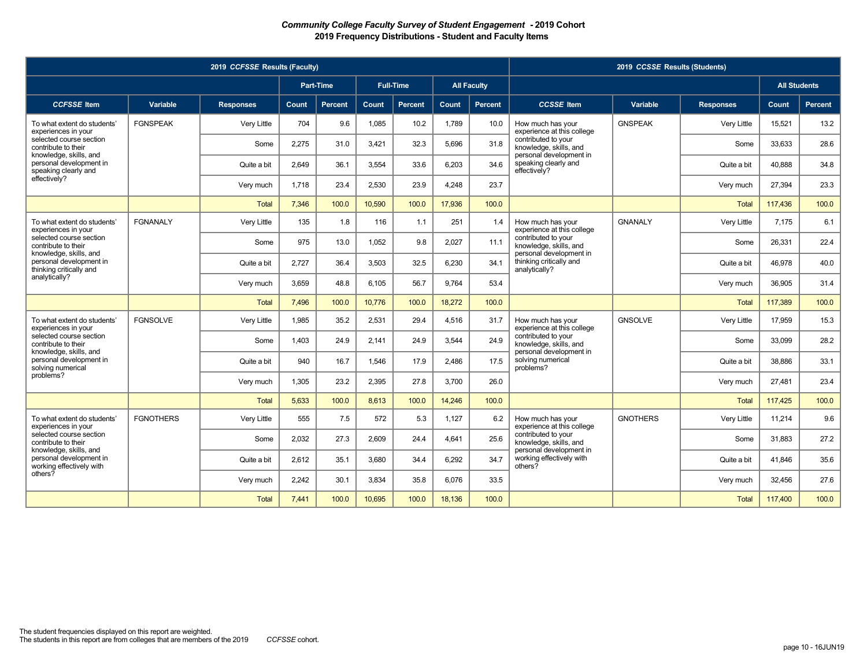|                                                                               |                  | 2019 CCFSSE Results (Faculty) |       |                  |        |                  |        |                    |                                                                          | 2019 CCSSE Results (Students) |                  |                     |                |
|-------------------------------------------------------------------------------|------------------|-------------------------------|-------|------------------|--------|------------------|--------|--------------------|--------------------------------------------------------------------------|-------------------------------|------------------|---------------------|----------------|
|                                                                               |                  |                               |       | <b>Part-Time</b> |        | <b>Full-Time</b> |        | <b>All Faculty</b> |                                                                          |                               |                  | <b>All Students</b> |                |
| <b>CCFSSE</b> Item                                                            | Variable         | <b>Responses</b>              | Count | <b>Percent</b>   | Count  | <b>Percent</b>   | Count  | Percent            | <b>CCSSE</b> Item                                                        | Variable                      | <b>Responses</b> | Count               | <b>Percent</b> |
| To what extent do students'<br>experiences in your                            | <b>FGNSPEAK</b>  | Very Little                   | 704   | 9.6              | 1,085  | 10.2             | 1.789  | 10.0               | How much has your<br>experience at this college                          | <b>GNSPEAK</b>                | Very Little      | 15.521              | 13.2           |
| selected course section<br>contribute to their                                |                  | Some                          | 2,275 | 31.0             | 3,421  | 32.3             | 5,696  | 31.8               | contributed to your<br>knowledge, skills, and                            |                               | Some             | 33,633              | 28.6           |
| knowledge, skills, and<br>personal development in<br>speaking clearly and     |                  | Quite a bit                   | 2.649 | 36.1             | 3.554  | 33.6             | 6.203  | 34.6               | personal development in<br>speaking clearly and<br>effectively?          |                               | Quite a bit      | 40.888              | 34.8           |
| effectively?                                                                  |                  | Very much                     | 1,718 | 23.4             | 2,530  | 23.9             | 4,248  | 23.7               |                                                                          |                               | Very much        | 27,394              | 23.3           |
|                                                                               |                  | <b>Total</b>                  | 7.346 | 100.0            | 10.590 | 100.0            | 17.936 | 100.0              |                                                                          |                               | <b>Total</b>     | 117.436             | 100.0          |
| To what extent do students'<br>experiences in your                            | <b>FGNANALY</b>  | Very Little                   | 135   | 1.8              | 116    | 1.1              | 251    | 1.4                | How much has your<br>experience at this college                          | <b>GNANALY</b>                | Very Little      | 7.175               | 6.1            |
| selected course section<br>contribute to their                                |                  | Some                          | 975   | 13.0             | 1,052  | 9.8              | 2,027  | 11.1               | contributed to your<br>knowledge, skills, and                            |                               | Some             | 26,331              | 22.4           |
| knowledge, skills, and<br>personal development in<br>thinking critically and  |                  | Quite a bit                   | 2.727 | 36.4             | 3.503  | 32.5             | 6.230  | 34.1               | personal development in<br>thinking critically and<br>analytically?      |                               | Quite a bit      | 46.978              | 40.0           |
| analytically?                                                                 |                  | Very much                     | 3.659 | 48.8             | 6.105  | 56.7             | 9.764  | 53.4               |                                                                          |                               | Very much        | 36.905              | 31.4           |
|                                                                               |                  | <b>Total</b>                  | 7.496 | 100.0            | 10.776 | 100.0            | 18.272 | 100.0              |                                                                          |                               | <b>Total</b>     | 117.389             | 100.0          |
| To what extent do students'<br>experiences in your                            | <b>FGNSOLVE</b>  | Very Little                   | 1.985 | 35.2             | 2,531  | 29.4             | 4.516  | 31.7               | How much has your<br>experience at this college                          | <b>GNSOLVE</b>                | Verv Little      | 17.959              | 15.3           |
| selected course section<br>contribute to their                                |                  | Some                          | 1,403 | 24.9             | 2,141  | 24.9             | 3,544  | 24.9               | contributed to your<br>knowledge, skills, and                            |                               | Some             | 33,099              | 28.2           |
| knowledge, skills, and<br>personal development in<br>solving numerical        |                  | Quite a bit                   | 940   | 16.7             | 1.546  | 17.9             | 2.486  | 17.5               | personal development in<br>solving numerical<br>problems?                |                               | Quite a bit      | 38.886              | 33.1           |
| problems?                                                                     |                  | Very much                     | 1.305 | 23.2             | 2,395  | 27.8             | 3.700  | 26.0               |                                                                          |                               | Very much        | 27.481              | 23.4           |
|                                                                               |                  | <b>Total</b>                  | 5.633 | 100.0            | 8.613  | 100.0            | 14.246 | 100.0              |                                                                          |                               | <b>Total</b>     | 117,425             | 100.0          |
| To what extent do students'<br>experiences in your                            | <b>FGNOTHERS</b> | Very Little                   | 555   | 7.5              | 572    | 5.3              | 1.127  | 6.2                | How much has your<br>experience at this college                          | <b>GNOTHERS</b>               | Very Little      | 11.214              | 9.6            |
| selected course section<br>contribute to their                                |                  | Some                          | 2,032 | 27.3             | 2,609  | 24.4             | 4,641  | 25.6               | contributed to your<br>knowledge, skills, and<br>personal development in |                               | Some             | 31,883              | 27.2           |
| knowledge, skills, and<br>personal development in<br>working effectively with |                  | Quite a bit                   | 2.612 | 35.1             | 3.680  | 34.4             | 6.292  | 34.7               | working effectively with<br>others?                                      |                               | Quite a bit      | 41.846              | 35.6           |
| others?                                                                       |                  | Very much                     | 2,242 | 30.1             | 3,834  | 35.8             | 6,076  | 33.5               |                                                                          |                               | Very much        | 32,456              | 27.6           |
|                                                                               |                  | <b>Total</b>                  | 7.441 | 100.0            | 10,695 | 100.0            | 18,136 | 100.0              |                                                                          |                               | <b>Total</b>     | 117,400             | 100.0          |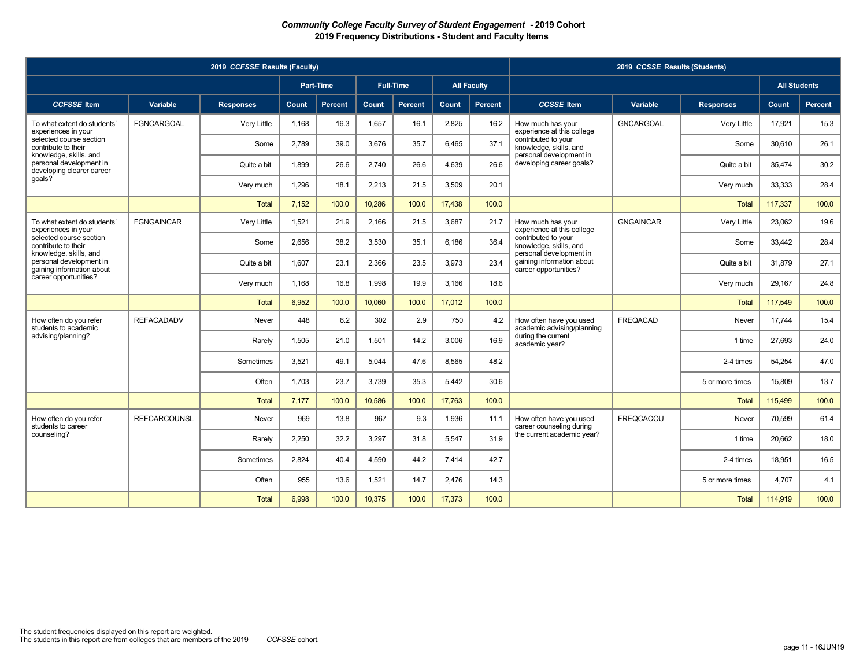|                                                                                |                     | 2019 CCFSSE Results (Faculty) |       |                  |        |                  |        |                    |                                                                               | 2019 CCSSE Results (Students) |                  |                     |                |
|--------------------------------------------------------------------------------|---------------------|-------------------------------|-------|------------------|--------|------------------|--------|--------------------|-------------------------------------------------------------------------------|-------------------------------|------------------|---------------------|----------------|
|                                                                                |                     |                               |       | <b>Part-Time</b> |        | <b>Full-Time</b> |        | <b>All Faculty</b> |                                                                               |                               |                  | <b>All Students</b> |                |
| <b>CCFSSE</b> Item                                                             | Variable            | <b>Responses</b>              | Count | <b>Percent</b>   | Count  | <b>Percent</b>   | Count  | Percent            | <b>CCSSE</b> Item                                                             | Variable                      | <b>Responses</b> | Count               | <b>Percent</b> |
| To what extent do students'<br>experiences in your                             | <b>FGNCARGOAL</b>   | Very Little                   | 1.168 | 16.3             | 1,657  | 16.1             | 2,825  | 16.2               | How much has your<br>experience at this college                               | <b>GNCARGOAL</b>              | Very Little      | 17.921              | 15.3           |
| selected course section<br>contribute to their                                 |                     | Some                          | 2,789 | 39.0             | 3,676  | 35.7             | 6.465  | 37.1               | contributed to your<br>knowledge, skills, and                                 |                               | Some             | 30.610              | 26.1           |
| knowledge, skills, and<br>personal development in<br>developing clearer career |                     | Quite a bit                   | 1.899 | 26.6             | 2,740  | 26.6             | 4,639  | 26.6               | personal development in<br>developing career goals?                           |                               | Quite a bit      | 35,474              | 30.2           |
| qoals?                                                                         |                     | Very much                     | 1.296 | 18.1             | 2.213  | 21.5             | 3,509  | 20.1               |                                                                               |                               | Very much        | 33,333              | 28.4           |
|                                                                                |                     | <b>Total</b>                  | 7.152 | 100.0            | 10.286 | 100.0            | 17.438 | 100.0              |                                                                               |                               | <b>Total</b>     | 117.337             | 100.0          |
| To what extent do students'<br>experiences in your                             | <b>FGNGAINCAR</b>   | Very Little                   | 1,521 | 21.9             | 2,166  | 21.5             | 3,687  | 21.7               | How much has your<br>experience at this college                               | <b>GNGAINCAR</b>              | Very Little      | 23,062              | 19.6           |
| selected course section<br>contribute to their                                 |                     | Some                          | 2.656 | 38.2             | 3,530  | 35.1             | 6.186  | 36.4               | contributed to your<br>knowledge, skills, and                                 |                               | Some             | 33,442              | 28.4           |
| knowledge, skills, and<br>personal development in<br>gaining information about |                     | Quite a bit                   | 1,607 | 23.1             | 2,366  | 23.5             | 3,973  | 23.4               | personal development in<br>gaining information about<br>career opportunities? |                               | Quite a bit      | 31,879              | 27.1           |
| career opportunities?                                                          |                     | Very much                     | 1.168 | 16.8             | 1,998  | 19.9             | 3,166  | 18.6               |                                                                               |                               | Very much        | 29,167              | 24.8           |
|                                                                                |                     | <b>Total</b>                  | 6,952 | 100.0            | 10,060 | 100.0            | 17,012 | 100.0              |                                                                               |                               | <b>Total</b>     | 117,549             | 100.0          |
| How often do you refer<br>students to academic                                 | <b>REFACADADV</b>   | Never                         | 448   | 6.2              | 302    | 2.9              | 750    | 4.2                | How often have you used<br>academic advising/planning                         | <b>FREQACAD</b>               | Never            | 17,744              | 15.4           |
| advising/planning?                                                             |                     | Rarely                        | 1.505 | 21.0             | 1.501  | 14.2             | 3.006  | 16.9               | during the current<br>academic year?                                          |                               | 1 time           | 27.693              | 24.0           |
|                                                                                |                     | Sometimes                     | 3.521 | 49.1             | 5,044  | 47.6             | 8.565  | 48.2               |                                                                               |                               | 2-4 times        | 54.254              | 47.0           |
|                                                                                |                     | Often                         | 1,703 | 23.7             | 3,739  | 35.3             | 5,442  | 30.6               |                                                                               |                               | 5 or more times  | 15,809              | 13.7           |
|                                                                                |                     | <b>Total</b>                  | 7,177 | 100.0            | 10,586 | 100.0            | 17.763 | 100.0              |                                                                               |                               | <b>Total</b>     | 115,499             | 100.0          |
| How often do you refer<br>students to career                                   | <b>REFCARCOUNSL</b> | Never                         | 969   | 13.8             | 967    | 9.3              | 1,936  | 11.1               | How often have you used<br>career counseling during                           | <b>FREQCACOU</b>              | Never            | 70.599              | 61.4           |
| counseling?                                                                    |                     | Rarely                        | 2,250 | 32.2             | 3,297  | 31.8             | 5,547  | 31.9               | the current academic year?                                                    |                               | 1 time           | 20,662              | 18.0           |
|                                                                                |                     | Sometimes                     | 2.824 | 40.4             | 4.590  | 44.2             | 7.414  | 42.7               |                                                                               |                               | 2-4 times        | 18.951              | 16.5           |
|                                                                                |                     | Often                         | 955   | 13.6             | 1,521  | 14.7             | 2,476  | 14.3               |                                                                               |                               | 5 or more times  | 4,707               | 4.1            |
|                                                                                |                     | <b>Total</b>                  | 6.998 | 100.0            | 10,375 | 100.0            | 17,373 | 100.0              |                                                                               |                               | <b>Total</b>     | 114,919             | 100.0          |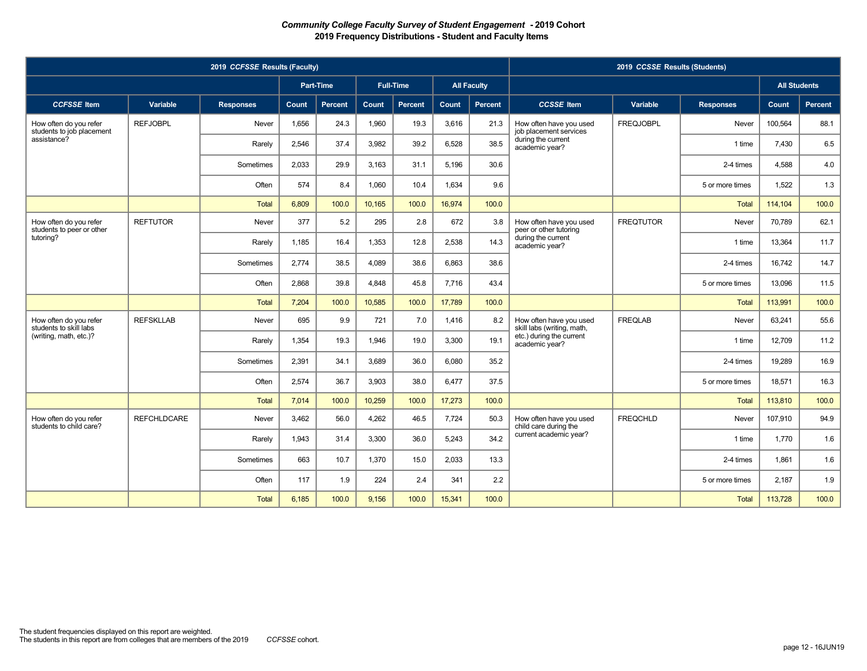|                                                     |                    | 2019 CCFSSE Results (Faculty) |       |                |        |                  |        |                    |                                                       | 2019 CCSSE Results (Students) |                  |                     |                |
|-----------------------------------------------------|--------------------|-------------------------------|-------|----------------|--------|------------------|--------|--------------------|-------------------------------------------------------|-------------------------------|------------------|---------------------|----------------|
|                                                     |                    |                               |       | Part-Time      |        | <b>Full-Time</b> |        | <b>All Faculty</b> |                                                       |                               |                  | <b>All Students</b> |                |
| <b>CCFSSE</b> Item                                  | Variable           | <b>Responses</b>              | Count | <b>Percent</b> | Count  | Percent          | Count  | Percent            | <b>CCSSE</b> Item                                     | Variable                      | <b>Responses</b> | Count               | <b>Percent</b> |
| How often do you refer<br>students to job placement | <b>REFJOBPL</b>    | Never                         | 1.656 | 24.3           | 1.960  | 19.3             | 3.616  | 21.3               | How often have you used<br>job placement services     | <b>FREQJOBPL</b>              | Never            | 100.564             | 88.1           |
| assistance?                                         |                    | Rarely                        | 2.546 | 37.4           | 3,982  | 39.2             | 6,528  | 38.5               | during the current<br>academic year?                  |                               | 1 time           | 7.430               | 6.5            |
|                                                     |                    | Sometimes                     | 2,033 | 29.9           | 3,163  | 31.1             | 5.196  | 30.6               |                                                       |                               | 2-4 times        | 4.588               | 4.0            |
|                                                     |                    | Often                         | 574   | 8.4            | 1,060  | 10.4             | 1,634  | 9.6                |                                                       |                               | 5 or more times  | 1,522               | 1.3            |
|                                                     |                    | <b>Total</b>                  | 6,809 | 100.0          | 10,165 | 100.0            | 16,974 | 100.0              |                                                       |                               | <b>Total</b>     | 114,104             | 100.0          |
| How often do you refer<br>students to peer or other | <b>REFTUTOR</b>    | Never                         | 377   | 5.2            | 295    | 2.8              | 672    | 3.8                | How often have you used<br>peer or other tutoring     | <b>FREQTUTOR</b>              | Never            | 70,789              | 62.1           |
| tutoring?                                           |                    | Rarely                        | 1,185 | 16.4           | 1,353  | 12.8             | 2,538  | 14.3               | during the current<br>academic year?                  |                               | 1 time           | 13,364              | 11.7           |
|                                                     |                    | Sometimes                     | 2.774 | 38.5           | 4.089  | 38.6             | 6.863  | 38.6               |                                                       |                               | 2-4 times        | 16.742              | 14.7           |
|                                                     |                    | Often                         | 2.868 | 39.8           | 4.848  | 45.8             | 7.716  | 43.4               |                                                       |                               | 5 or more times  | 13.096              | 11.5           |
|                                                     |                    | <b>Total</b>                  | 7.204 | 100.0          | 10,585 | 100.0            | 17.789 | 100.0              |                                                       |                               | <b>Total</b>     | 113,991             | 100.0          |
| How often do you refer<br>students to skill labs    | <b>REFSKLLAB</b>   | Never                         | 695   | 9.9            | 721    | 7.0              | 1.416  | 8.2                | How often have you used<br>skill labs (writing, math, | <b>FREQLAB</b>                | Never            | 63.241              | 55.6           |
| (writing, math, etc.)?                              |                    | Rarely                        | 1,354 | 19.3           | 1,946  | 19.0             | 3,300  | 19.1               | etc.) during the current<br>academic year?            |                               | 1 time           | 12,709              | 11.2           |
|                                                     |                    | Sometimes                     | 2,391 | 34.1           | 3,689  | 36.0             | 6,080  | 35.2               |                                                       |                               | 2-4 times        | 19,289              | 16.9           |
|                                                     |                    | Often                         | 2.574 | 36.7           | 3.903  | 38.0             | 6.477  | 37.5               |                                                       |                               | 5 or more times  | 18.571              | 16.3           |
|                                                     |                    | Total                         | 7.014 | 100.0          | 10.259 | 100.0            | 17.273 | 100.0              |                                                       |                               | <b>Total</b>     | 113.810             | 100.0          |
| How often do you refer<br>students to child care?   | <b>REFCHLDCARE</b> | Never                         | 3,462 | 56.0           | 4,262  | 46.5             | 7,724  | 50.3               | How often have you used<br>child care during the      | <b>FREQCHLD</b>               | Never            | 107,910             | 94.9           |
|                                                     |                    | Rarely                        | 1.943 | 31.4           | 3,300  | 36.0             | 5.243  | 34.2               | current academic year?                                |                               | 1 time           | 1.770               | 1.6            |
|                                                     |                    | Sometimes                     | 663   | 10.7           | 1,370  | 15.0             | 2.033  | 13.3               |                                                       |                               | 2-4 times        | 1.861               | 1.6            |
|                                                     |                    | Often                         | 117   | 1.9            | 224    | 2.4              | 341    | 2.2                |                                                       |                               | 5 or more times  | 2,187               | 1.9            |
|                                                     |                    | Total                         | 6,185 | 100.0          | 9,156  | 100.0            | 15,341 | 100.0              |                                                       |                               | Total            | 113,728             | 100.0          |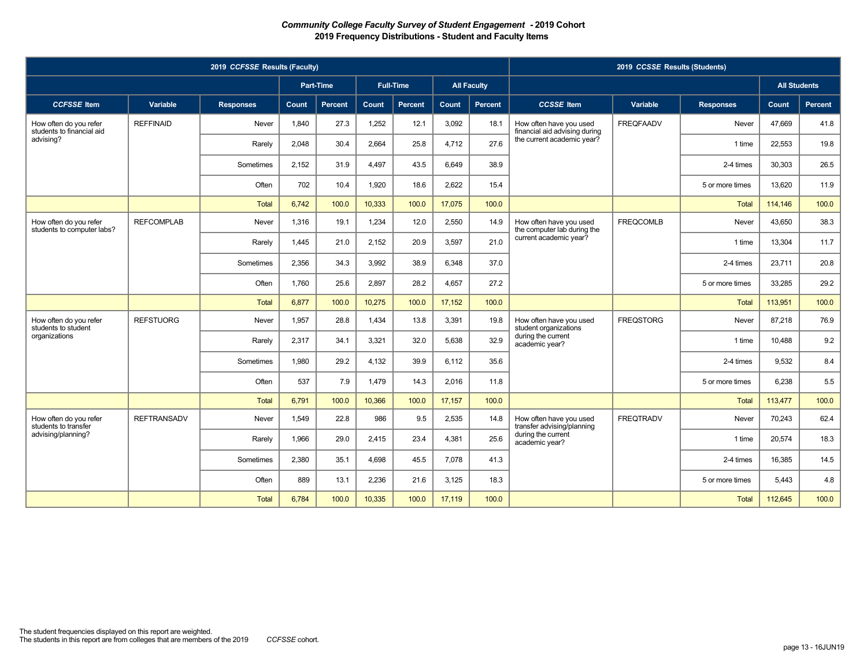|                                                      | 2019 CCSSE Results (Students) |                  |           |                |        |                  |        |                    |                                                                                                                   |                  |                  |         |                     |
|------------------------------------------------------|-------------------------------|------------------|-----------|----------------|--------|------------------|--------|--------------------|-------------------------------------------------------------------------------------------------------------------|------------------|------------------|---------|---------------------|
|                                                      |                               |                  | Part-Time |                |        | <b>Full-Time</b> |        | <b>All Faculty</b> |                                                                                                                   |                  |                  |         | <b>All Students</b> |
| <b>CCFSSE</b> Item                                   | Variable                      | <b>Responses</b> | Count     | <b>Percent</b> | Count  | Percent          | Count  | Percent            | <b>CCSSE</b> Item                                                                                                 | Variable         | <b>Responses</b> | Count   | <b>Percent</b>      |
| How often do you refer<br>students to financial aid  | <b>REFFINAID</b>              | Never            | 1.840     | 27.3           | 1.252  | 12.1             | 3.092  | 18.1               | How often have you used<br>financial aid advising during                                                          | <b>FREQFAADV</b> | Never            | 47.669  | 41.8                |
| advising?                                            |                               | Rarely           | 2,048     | 30.4           | 2,664  | 25.8             | 4.712  | 27.6               | the current academic year?                                                                                        |                  | 1 time           | 22,553  | 19.8                |
|                                                      |                               | Sometimes        | 2,152     | 31.9           | 4,497  | 43.5             | 6.649  | 38.9               |                                                                                                                   |                  | 2-4 times        | 30,303  | 26.5                |
|                                                      |                               | Often            | 702       | 10.4           | 1,920  | 18.6             | 2,622  | 15.4               |                                                                                                                   |                  | 5 or more times  | 13,620  | 11.9                |
|                                                      |                               | Total            | 6,742     | 100.0          | 10,333 | 100.0            | 17,075 | 100.0              |                                                                                                                   |                  | <b>Total</b>     | 114,146 | 100.0               |
| How often do you refer<br>students to computer labs? | <b>REFCOMPLAB</b>             | Never            | 1.316     | 19.1           | 1,234  | 12.0             | 2.550  | 14.9               | How often have you used<br>the computer lab during the<br>current academic year?                                  | <b>FREQCOMLB</b> | Never            | 43.650  | 38.3                |
|                                                      |                               | Rarely           | 1,445     | 21.0           | 2,152  | 20.9             | 3,597  | 21.0               |                                                                                                                   |                  | 1 time           | 13,304  | 11.7                |
|                                                      |                               | Sometimes        | 2.356     | 34.3           | 3.992  | 38.9             | 6.348  | 37.0               |                                                                                                                   |                  | 2-4 times        | 23,711  | 20.8                |
|                                                      |                               | Often            | 1.760     | 25.6           | 2,897  | 28.2             | 4,657  | 27.2               |                                                                                                                   |                  | 5 or more times  | 33.285  | 29.2                |
|                                                      |                               | Total            | 6.877     | 100.0          | 10,275 | 100.0            | 17.152 | 100.0              |                                                                                                                   |                  | <b>Total</b>     | 113,951 | 100.0               |
| How often do you refer<br>students to student        | <b>REFSTUORG</b>              | Never            | 1.957     | 28.8           | 1.434  | 13.8             | 3.391  | 19.8               | How often have you used<br>student organizations<br>during the current<br>academic year?                          | <b>FREQSTORG</b> | Never            | 87.218  | 76.9                |
| organizations                                        |                               | Rarely           | 2,317     | 34.1           | 3,321  | 32.0             | 5,638  | 32.9               |                                                                                                                   |                  | 1 time           | 10,488  | 9.2                 |
|                                                      |                               | Sometimes        | 1,980     | 29.2           | 4,132  | 39.9             | 6,112  | 35.6               |                                                                                                                   |                  | 2-4 times        | 9,532   | 8.4                 |
|                                                      |                               | Often            | 537       | 7.9            | 1.479  | 14.3             | 2.016  | 11.8               |                                                                                                                   |                  | 5 or more times  | 6.238   | 5.5                 |
|                                                      |                               | Total            | 6,791     | 100.0          | 10.366 | 100.0            | 17.157 | 100.0              |                                                                                                                   |                  | Total            | 113,477 | 100.0               |
| How often do you refer<br>students to transfer       | <b>REFTRANSADV</b>            | Never            | 1,549     | 22.8           | 986    | 9.5              | 2,535  | 14.8               | <b>FREQTRADV</b><br>How often have you used<br>transfer advising/planning<br>during the current<br>academic year? |                  | Never            | 70,243  | 62.4                |
| advising/planning?                                   |                               | Rarely           | 1,966     | 29.0           | 2.415  | 23.4             | 4,381  | 25.6               |                                                                                                                   |                  | 1 time           | 20,574  | 18.3                |
|                                                      |                               | Sometimes        | 2,380     | 35.1           | 4.698  | 45.5             | 7.078  | 41.3               |                                                                                                                   | 2-4 times        | 16.385           | 14.5    |                     |
|                                                      |                               | Often            | 889       | 13.1           | 2,236  | 21.6             | 3,125  | 18.3               |                                                                                                                   |                  | 5 or more times  | 5,443   | 4.8                 |
|                                                      |                               | Total            | 6,784     | 100.0          | 10,335 | 100.0            | 17,119 | 100.0              |                                                                                                                   |                  | Total            | 112,645 | 100.0               |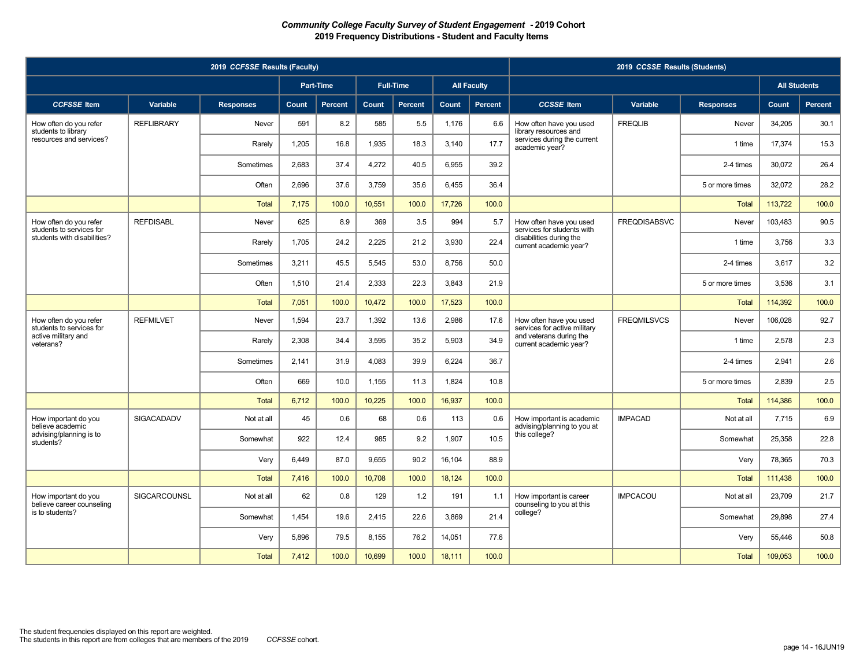|                                                    | 2019 CCSSE Results (Students) |                  |              |                |        |                  |              |                    |                                                                                                              |                     |                  |         |                     |        |      |
|----------------------------------------------------|-------------------------------|------------------|--------------|----------------|--------|------------------|--------------|--------------------|--------------------------------------------------------------------------------------------------------------|---------------------|------------------|---------|---------------------|--------|------|
|                                                    |                               |                  | Part-Time    |                |        | <b>Full-Time</b> |              | <b>All Faculty</b> |                                                                                                              |                     |                  |         | <b>All Students</b> |        |      |
| <b>CCFSSE</b> Item                                 | Variable                      | <b>Responses</b> | <b>Count</b> | <b>Percent</b> | Count  | Percent          | <b>Count</b> | Percent            | <b>CCSSE</b> Item                                                                                            | Variable            | <b>Responses</b> | Count   | <b>Percent</b>      |        |      |
| How often do you refer<br>students to library      | <b>REFLIBRARY</b>             | Never            | 591          | 8.2            | 585    | 5.5              | 1,176        | 6.6                | How often have you used<br>library resources and<br>services during the current<br>academic year?            | <b>FREQLIB</b>      | Never            | 34,205  | 30.1                |        |      |
| resources and services?                            |                               | Rarely           | 1,205        | 16.8           | 1,935  | 18.3             | 3,140        | 17.7               |                                                                                                              |                     | 1 time           | 17,374  | 15.3                |        |      |
|                                                    |                               | Sometimes        | 2,683        | 37.4           | 4,272  | 40.5             | 6,955        | 39.2               |                                                                                                              |                     | 2-4 times        | 30,072  | 26.4                |        |      |
|                                                    |                               | Often            | 2,696        | 37.6           | 3,759  | 35.6             | 6,455        | 36.4               |                                                                                                              |                     | 5 or more times  | 32.072  | 28.2                |        |      |
|                                                    |                               | <b>Total</b>     | 7,175        | 100.0          | 10,551 | 100.0            | 17,726       | 100.0              |                                                                                                              |                     | <b>Total</b>     | 113,722 | 100.0               |        |      |
| How often do you refer<br>students to services for | <b>REFDISABL</b>              | Never            | 625          | 8.9            | 369    | 3.5              | 994          | 5.7                | How often have you used<br>services for students with                                                        | <b>FREQDISABSVC</b> | Never            | 103,483 | 90.5                |        |      |
| students with disabilities?                        |                               | Rarely           | 1,705        | 24.2           | 2,225  | 21.2             | 3,930        | 22.4               | disabilities during the<br>current academic year?                                                            |                     | 1 time           | 3,756   | 3.3                 |        |      |
|                                                    |                               | Sometimes        | 3,211        | 45.5           | 5,545  | 53.0             | 8.756        | 50.0               |                                                                                                              |                     | 2-4 times        | 3.617   | 3.2                 |        |      |
|                                                    |                               | Often            | 1,510        | 21.4           | 2,333  | 22.3             | 3,843        | 21.9               |                                                                                                              |                     | 5 or more times  | 3,536   | 3.1                 |        |      |
|                                                    |                               | <b>Total</b>     | 7,051        | 100.0          | 10,472 | 100.0            | 17,523       | 100.0              |                                                                                                              |                     | <b>Total</b>     | 114,392 | 100.0               |        |      |
| How often do you refer<br>students to services for | <b>REFMILVET</b>              | Never            | 1,594        | 23.7           | 1,392  | 13.6             | 2,986        | 17.6               | How often have you used<br>services for active military<br>and veterans during the<br>current academic year? | <b>FREQMILSVCS</b>  | Never            | 106,028 | 92.7                |        |      |
| active military and<br>veterans?                   |                               | Rarely           | 2,308        | 34.4           | 3,595  | 35.2             | 5,903        | 34.9               |                                                                                                              |                     | 1 time           | 2,578   | 2.3                 |        |      |
|                                                    |                               | Sometimes        | 2.141        | 31.9           | 4.083  | 39.9             | 6,224        | 36.7               |                                                                                                              |                     | 2-4 times        | 2.941   | 2.6                 |        |      |
|                                                    |                               | Often            | 669          | 10.0           | 1,155  | 11.3             | 1,824        | 10.8               |                                                                                                              |                     | 5 or more times  | 2.839   | 2.5                 |        |      |
|                                                    |                               | <b>Total</b>     | 6,712        | 100.0          | 10,225 | 100.0            | 16,937       | 100.0              |                                                                                                              |                     | <b>Total</b>     | 114,386 | 100.0               |        |      |
| How important do you<br>believe academic           | <b>SIGACADADV</b>             | Not at all       | 45           | 0.6            | 68     | 0.6              | 113          | 0.6                | How important is academic<br>advising/planning to you at                                                     | <b>IMPACAD</b>      | Not at all       | 7.715   | 6.9                 |        |      |
| advising/planning is to<br>students?               |                               |                  |              | Somewhat       | 922    | 12.4             | 985          | 9.2                | 1,907                                                                                                        | 10.5                | this college?    |         | Somewhat            | 25,358 | 22.8 |
|                                                    |                               | Very             | 6.449        | 87.0           | 9.655  | 90.2             | 16.104       | 88.9               |                                                                                                              |                     | Very             | 78.365  | 70.3                |        |      |
|                                                    |                               | <b>Total</b>     | 7,416        | 100.0          | 10,708 | 100.0            | 18,124       | 100.0              |                                                                                                              |                     | <b>Total</b>     | 111,438 | 100.0               |        |      |
| How important do you<br>believe career counseling  | SIGCARCOUNSL                  | Not at all       | 62           | 0.8            | 129    | 1.2              | 191          | 1.1                | How important is career<br>counseling to you at this<br>college?                                             | <b>IMPCACOU</b>     | Not at all       | 23.709  | 21.7                |        |      |
| is to students?                                    |                               | Somewhat         | 1.454        | 19.6           | 2,415  | 22.6             | 3.869        | 21.4               |                                                                                                              |                     | Somewhat         | 29.898  | 27.4                |        |      |
|                                                    |                               | Very             | 5,896        | 79.5           | 8,155  | 76.2             | 14,051       | 77.6               |                                                                                                              |                     | Very             | 55,446  | 50.8                |        |      |
|                                                    |                               | <b>Total</b>     | 7,412        | 100.0          | 10,699 | 100.0            | 18,111       | 100.0              |                                                                                                              |                     | <b>Total</b>     | 109,053 | 100.0               |        |      |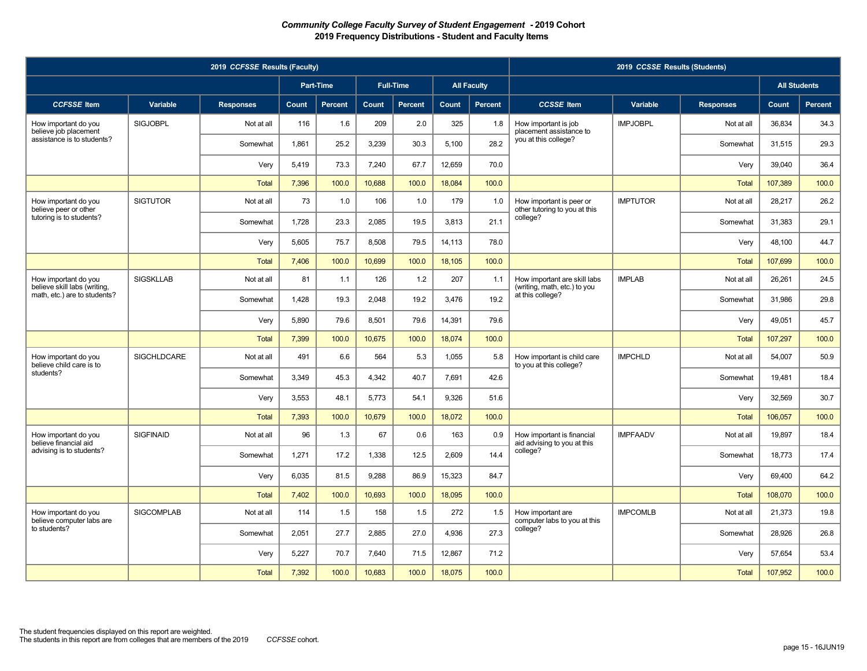| 2019 CCFSSE Results (Faculty)                                               |                    |                  |              |                |        |                  |        |                    | 2019 CCSSE Results (Students)                                                    |                 |                  |                     |                |        |      |
|-----------------------------------------------------------------------------|--------------------|------------------|--------------|----------------|--------|------------------|--------|--------------------|----------------------------------------------------------------------------------|-----------------|------------------|---------------------|----------------|--------|------|
|                                                                             |                    |                  |              | Part-Time      |        | <b>Full-Time</b> |        | <b>All Faculty</b> |                                                                                  |                 |                  | <b>All Students</b> |                |        |      |
| <b>CCFSSE</b> Item                                                          | Variable           | <b>Responses</b> | <b>Count</b> | <b>Percent</b> | Count  | <b>Percent</b>   | Count  | <b>Percent</b>     | <b>CCSSE</b> Item                                                                | <b>Variable</b> | <b>Responses</b> | Count               | <b>Percent</b> |        |      |
| How important do you<br>believe job placement<br>assistance is to students? | <b>SIGJOBPL</b>    | Not at all       | 116          | 1.6            | 209    | 2.0              | 325    | 1.8                | How important is job<br>placement assistance to                                  | <b>IMPJOBPL</b> | Not at all       | 36.834              | 34.3           |        |      |
|                                                                             |                    | Somewhat         | 1,861        | 25.2           | 3,239  | 30.3             | 5,100  | 28.2               | you at this college?                                                             |                 | Somewhat         | 31,515              | 29.3           |        |      |
|                                                                             |                    | Very             | 5,419        | 73.3           | 7,240  | 67.7             | 12,659 | 70.0               |                                                                                  |                 | Very             | 39,040              | 36.4           |        |      |
|                                                                             |                    | <b>Total</b>     | 7,396        | 100.0          | 10,688 | 100.0            | 18,084 | 100.0              |                                                                                  |                 | <b>Total</b>     | 107,389             | 100.0          |        |      |
| How important do you<br>believe peer or other                               | <b>SIGTUTOR</b>    | Not at all       | 73           | 1.0            | 106    | 1.0              | 179    | 1.0                | How important is peer or<br>other tutoring to you at this                        | <b>IMPTUTOR</b> | Not at all       | 28,217              | 26.2           |        |      |
| tutoring is to students?                                                    |                    | Somewhat         | 1,728        | 23.3           | 2,085  | 19.5             | 3,813  | 21.1               | college?                                                                         |                 | Somewhat         | 31,383              | 29.1           |        |      |
|                                                                             |                    | Very             | 5,605        | 75.7           | 8,508  | 79.5             | 14,113 | 78.0               |                                                                                  |                 | Very             | 48,100              | 44.7           |        |      |
|                                                                             |                    | <b>Total</b>     | 7,406        | 100.0          | 10,699 | 100.0            | 18,105 | 100.0              |                                                                                  |                 | <b>Total</b>     | 107,699             | 100.0          |        |      |
| How important do you<br>believe skill labs (writing,                        | <b>SIGSKLLAB</b>   | Not at all       | 81           | 1.1            | 126    | 1.2              | 207    | 1.1                | How important are skill labs<br>(writing, math, etc.) to you<br>at this college? | <b>IMPLAB</b>   | Not at all       | 26,261              | 24.5           |        |      |
| math, etc.) are to students?                                                |                    | Somewhat         | 1,428        | 19.3           | 2,048  | 19.2             | 3,476  | 19.2               |                                                                                  |                 | Somewhat         | 31,986              | 29.8           |        |      |
|                                                                             |                    | Very             | 5,890        | 79.6           | 8,501  | 79.6             | 14,391 | 79.6               |                                                                                  |                 | Very             | 49,051              | 45.7           |        |      |
|                                                                             |                    | <b>Total</b>     | 7,399        | 100.0          | 10,675 | 100.0            | 18,074 | 100.0              |                                                                                  |                 | <b>Total</b>     | 107,297             | 100.0          |        |      |
| How important do you<br>believe child care is to                            | <b>SIGCHLDCARE</b> | Not at all       | 491          | 6.6            | 564    | 5.3              | 1.055  | 5.8                | How important is child care<br>to you at this college?                           | <b>IMPCHLD</b>  | Not at all       | 54.007              | 50.9           |        |      |
| students?                                                                   |                    | Somewhat         | 3,349        | 45.3           | 4,342  | 40.7             | 7,691  | 42.6               |                                                                                  |                 | Somewhat         | 19,481              | 18.4           |        |      |
|                                                                             |                    | Very             | 3,553        | 48.1           | 5,773  | 54.1             | 9,326  | 51.6               |                                                                                  |                 | Very             | 32,569              | 30.7           |        |      |
|                                                                             |                    | <b>Total</b>     | 7,393        | 100.0          | 10,679 | 100.0            | 18,072 | 100.0              |                                                                                  |                 | <b>Total</b>     | 106,057             | 100.0          |        |      |
| How important do you<br>believe financial aid                               | <b>SIGFINAID</b>   | Not at all       | 96           | 1.3            | 67     | 0.6              | 163    | 0.9                | How important is financial<br>aid advising to you at this                        | <b>IMPFAADV</b> | Not at all       | 19.897              | 18.4           |        |      |
| advising is to students?                                                    |                    |                  |              | Somewhat       | 1,271  | 17.2             | 1,338  | 12.5               | 2,609                                                                            | 14.4            | college?         |                     | Somewhat       | 18,773 | 17.4 |
|                                                                             |                    | Very             | 6,035        | 81.5           | 9,288  | 86.9             | 15,323 | 84.7               |                                                                                  |                 | Very             | 69,400              | 64.2           |        |      |
|                                                                             |                    | <b>Total</b>     | 7,402        | 100.0          | 10,693 | 100.0            | 18,095 | 100.0              |                                                                                  |                 | <b>Total</b>     | 108,070             | 100.0          |        |      |
| How important do you<br>believe computer labs are                           | <b>SIGCOMPLAB</b>  | Not at all       | 114          | 1.5            | 158    | 1.5              | 272    | 1.5                | How important are<br>computer labs to you at this                                | <b>IMPCOMLB</b> | Not at all       | 21,373              | 19.8           |        |      |
| to students?                                                                |                    | Somewhat         | 2.051        | 27.7           | 2.885  | 27.0             | 4.936  | 27.3               | college?                                                                         |                 | Somewhat         | 28.926              | 26.8           |        |      |
|                                                                             |                    | Very             | 5,227        | 70.7           | 7,640  | 71.5             | 12,867 | 71.2               |                                                                                  |                 | Very             | 57,654              | 53.4           |        |      |
|                                                                             |                    | <b>Total</b>     | 7,392        | 100.0          | 10,683 | 100.0            | 18,075 | 100.0              |                                                                                  |                 | <b>Total</b>     | 107,952             | 100.0          |        |      |